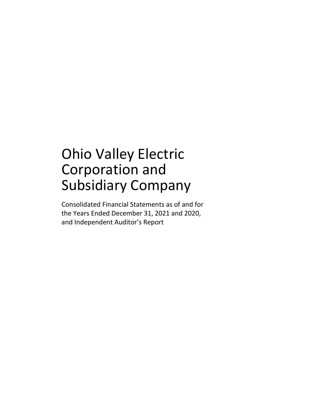## Ohio Valley Electric Corporation and Subsidiary Company

Consolidated Financial Statements as of and for the Years Ended December 31, 2021 and 2020, and Independent Auditor's Report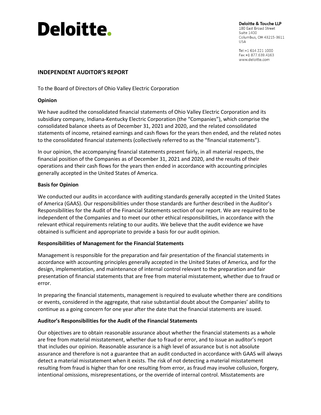# **Deloitte.**

Deloitte & Touche LLP 180 East Broad Street **Suite 1400** Columbus, OH 43215-3611 **USA** 

Tel:+1 614 221 1000 Fax:+1 877.639.4163 www.deloitte.com

## **INDEPENDENT AUDITOR'S REPORT**

To the Board of Directors of Ohio Valley Electric Corporation

## **Opinion**

We have audited the consolidated financial statements of Ohio Valley Electric Corporation and its subsidiary company, Indiana-Kentucky Electric Corporation (the "Companies"), which comprise the consolidated balance sheets as of December 31, 2021 and 2020, and the related consolidated statements of income, retained earnings and cash flows for the years then ended, and the related notes to the consolidated financial statements (collectively referred to as the "financial statements").

In our opinion, the accompanying financial statements present fairly, in all material respects, the financial position of the Companies as of December 31, 2021 and 2020, and the results of their operations and their cash flows for the years then ended in accordance with accounting principles generally accepted in the United States of America.

## **Basis for Opinion**

We conducted our audits in accordance with auditing standards generally accepted in the United States of America (GAAS). Our responsibilities under those standards are further described in the Auditor's Responsibilities for the Audit of the Financial Statements section of our report. We are required to be independent of the Companies and to meet our other ethical responsibilities, in accordance with the relevant ethical requirements relating to our audits. We believe that the audit evidence we have obtained is sufficient and appropriate to provide a basis for our audit opinion.

## **Responsibilities of Management for the Financial Statements**

Management is responsible for the preparation and fair presentation of the financial statements in accordance with accounting principles generally accepted in the United States of America, and for the design, implementation, and maintenance of internal control relevant to the preparation and fair presentation of financial statements that are free from material misstatement, whether due to fraud or error.

In preparing the financial statements, management is required to evaluate whether there are conditions or events, considered in the aggregate, that raise substantial doubt about the Companies' ability to continue as a going concern for one year after the date that the financial statements are issued.

## **Auditor's Responsibilities for the Audit of the Financial Statements**

Our objectives are to obtain reasonable assurance about whether the financial statements as a whole are free from material misstatement, whether due to fraud or error, and to issue an auditor's report that includes our opinion. Reasonable assurance is a high level of assurance but is not absolute assurance and therefore is not a guarantee that an audit conducted in accordance with GAAS will always detect a material misstatement when it exists. The risk of not detecting a material misstatement resulting from fraud is higher than for one resulting from error, as fraud may involve collusion, forgery, intentional omissions, misrepresentations, or the override of internal control. Misstatements are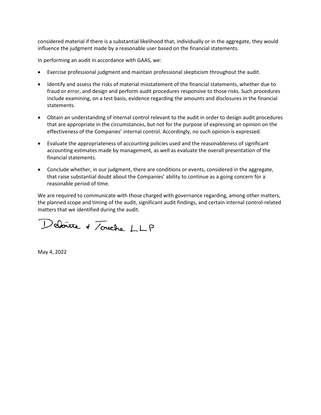considered material if there is a substantial likelihood that, individually or in the aggregate, they would influence the judgment made by a reasonable user based on the financial statements.

In performing an audit in accordance with GAAS, we:

- Exercise professional judgment and maintain professional skepticism throughout the audit.
- Identify and assess the risks of material misstatement of the financial statements, whether due to fraud or error, and design and perform audit procedures responsive to those risks. Such procedures include examining, on a test basis, evidence regarding the amounts and disclosures in the financial statements.
- Obtain an understanding of internal control relevant to the audit in order to design audit procedures that are appropriate in the circumstances, but not for the purpose of expressing an opinion on the effectiveness of the Companies' internal control. Accordingly, no such opinion is expressed.
- Evaluate the appropriateness of accounting policies used and the reasonableness of significant accounting estimates made by management, as well as evaluate the overall presentation of the financial statements.
- Conclude whether, in our judgment, there are conditions or events, considered in the aggregate, that raise substantial doubt about the Companies' ability to continue as a going concern for a reasonable period of time.

We are required to communicate with those charged with governance regarding, among other matters, the planned scope and timing of the audit, significant audit findings, and certain internal control-related matters that we identified during the audit.

Deboute + Touche LLP

May 4, 2022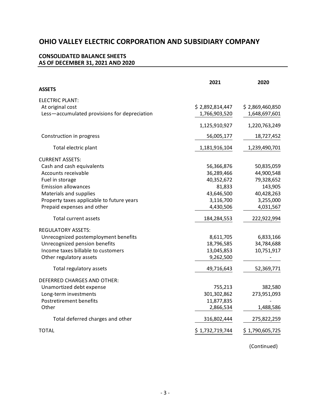## **CONSOLIDATED BALANCE SHEETS AS OF DECEMBER 31, 2021 AND 2020**

|                                              | 2021            | 2020            |
|----------------------------------------------|-----------------|-----------------|
| <b>ASSETS</b>                                |                 |                 |
| ELECTRIC PLANT:                              |                 |                 |
| At original cost                             | \$2,892,814,447 | \$2,869,460,850 |
| Less-accumulated provisions for depreciation | 1,766,903,520   | 1,648,697,601   |
|                                              | 1,125,910,927   | 1,220,763,249   |
| Construction in progress                     | 56,005,177      | 18,727,452      |
| Total electric plant                         | 1,181,916,104   | 1,239,490,701   |
| <b>CURRENT ASSETS:</b>                       |                 |                 |
| Cash and cash equivalents                    | 56,366,876      | 50,835,059      |
| Accounts receivable                          | 36,289,466      | 44,900,548      |
| Fuel in storage                              | 40,352,672      | 79,328,652      |
| <b>Emission allowances</b>                   | 81,833          | 143,905         |
| Materials and supplies                       | 43,646,500      | 40,428,263      |
| Property taxes applicable to future years    | 3,116,700       | 3,255,000       |
| Prepaid expenses and other                   | 4,430,506       | 4,031,567       |
| Total current assets                         | 184,284,553     | 222,922,994     |
| <b>REGULATORY ASSETS:</b>                    |                 |                 |
| Unrecognized postemployment benefits         | 8,611,705       | 6,833,166       |
| Unrecognized pension benefits                | 18,796,585      | 34,784,688      |
| Income taxes billable to customers           | 13,045,853      | 10,751,917      |
| Other regulatory assets                      | 9,262,500       |                 |
| Total regulatory assets                      | 49,716,643      | 52,369,771      |
| DEFERRED CHARGES AND OTHER:                  |                 |                 |
| Unamortized debt expense                     | 755,213         | 382,580         |
| Long-term investments                        | 301,302,862     | 273,951,093     |
| Postretirement benefits                      | 11,877,835      |                 |
| Other                                        | 2,866,534       | 1,488,586       |
| Total deferred charges and other             | 316,802,444     | 275,822,259     |
| TOTAL                                        | \$1,732,719,744 | \$1,790,605,725 |
|                                              |                 |                 |

(Continued)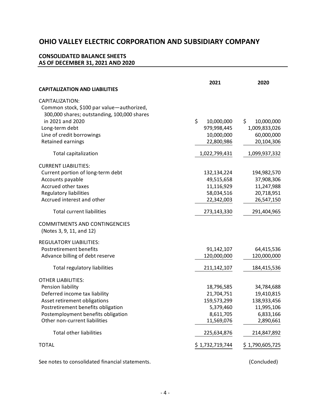## **CONSOLIDATED BALANCE SHEETS AS OF DECEMBER 31, 2021 AND 2020**

|                                                                  | 2021             | 2020             |
|------------------------------------------------------------------|------------------|------------------|
| <b>CAPITALIZATION AND LIABILITIES</b>                            |                  |                  |
| CAPITALIZATION:                                                  |                  |                  |
| Common stock, \$100 par value-authorized,                        |                  |                  |
| 300,000 shares; outstanding, 100,000 shares                      |                  |                  |
| in 2021 and 2020                                                 | \$<br>10,000,000 | \$<br>10,000,000 |
| Long-term debt                                                   | 979,998,445      | 1,009,833,026    |
| Line of credit borrowings                                        | 10,000,000       | 60,000,000       |
| Retained earnings                                                | 22,800,986       | 20,104,306       |
| Total capitalization                                             | 1,022,799,431    | 1,099,937,332    |
| <b>CURRENT LIABILITIES:</b>                                      |                  |                  |
| Current portion of long-term debt                                | 132,134,224      | 194,982,570      |
| Accounts payable                                                 | 49,515,658       | 37,908,306       |
| Accrued other taxes                                              | 11,116,929       | 11,247,988       |
| <b>Regulatory liabilities</b>                                    | 58,034,516       | 20,718,951       |
| Accrued interest and other                                       | 22,342,003       | 26,547,150       |
| <b>Total current liabilities</b>                                 | 273,143,330      | 291,404,965      |
| <b>COMMITMENTS AND CONTINGENCIES</b><br>(Notes 3, 9, 11, and 12) |                  |                  |
| <b>REGULATORY LIABILITIES:</b>                                   |                  |                  |
| Postretirement benefits                                          | 91,142,107       | 64,415,536       |
| Advance billing of debt reserve                                  | 120,000,000      | 120,000,000      |
| <b>Total regulatory liabilities</b>                              | 211,142,107      | 184,415,536      |
| <b>OTHER LIABILITIES:</b>                                        |                  |                  |
| Pension liability                                                | 18,796,585       | 34,784,688       |
| Deferred income tax liability                                    | 21,704,751       | 19,410,815       |
| Asset retirement obligations                                     | 159,573,299      | 138,933,456      |
| Postretirement benefits obligation                               | 5,379,460        | 11,995,106       |
| Postemployment benefits obligation                               | 8,611,705        | 6,833,166        |
| Other non-current liabilities                                    | 11,569,076       | 2,890,661        |
| <b>Total other liabilities</b>                                   | 225,634,876      | 214,847,892      |
| <b>TOTAL</b>                                                     | \$1,732,719,744  | \$1,790,605,725  |
| See notes to consolidated financial statements.                  |                  | (Concluded)      |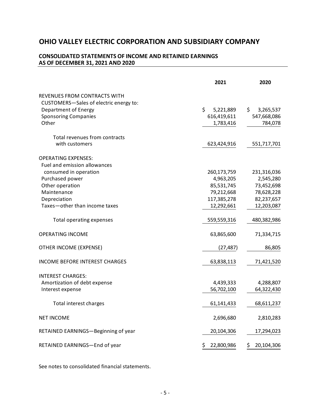## **CONSOLIDATED STATEMENTS OF INCOME AND RETAINED EARNINGS AS OF DECEMBER 31, 2021 AND 2020**

|                                        | 2021             | 2020             |
|----------------------------------------|------------------|------------------|
| REVENUES FROM CONTRACTS WITH           |                  |                  |
| CUSTOMERS-Sales of electric energy to: |                  |                  |
| Department of Energy                   | \$<br>5,221,889  | \$.<br>3,265,537 |
| <b>Sponsoring Companies</b>            | 616,419,611      | 547,668,086      |
| Other                                  | 1,783,416        | 784,078          |
| Total revenues from contracts          |                  |                  |
| with customers                         | 623,424,916      | 551,717,701      |
| <b>OPERATING EXPENSES:</b>             |                  |                  |
| Fuel and emission allowances           |                  |                  |
| consumed in operation                  | 260,173,759      | 231,316,036      |
| Purchased power                        | 4,963,205        | 2,545,280        |
| Other operation                        | 85,531,745       | 73,452,698       |
| Maintenance                            | 79,212,668       | 78,628,228       |
| Depreciation                           | 117,385,278      | 82,237,657       |
| Taxes-other than income taxes          | 12,292,661       | 12,203,087       |
| Total operating expenses               | 559,559,316      | 480,382,986      |
| <b>OPERATING INCOME</b>                | 63,865,600       | 71,334,715       |
| OTHER INCOME (EXPENSE)                 | (27, 487)        | 86,805           |
| <b>INCOME BEFORE INTEREST CHARGES</b>  | 63,838,113       | 71,421,520       |
| INTEREST CHARGES:                      |                  |                  |
| Amortization of debt expense           | 4,439,333        | 4,288,807        |
| Interest expense                       | 56,702,100       | 64,322,430       |
| Total interest charges                 | 61,141,433       | 68,611,237       |
| <b>NET INCOME</b>                      | 2,696,680        | 2,810,283        |
| RETAINED EARNINGS-Beginning of year    | 20,104,306       | 17,294,023       |
| RETAINED EARNINGS-End of year          | \$<br>22,800,986 | \$<br>20,104,306 |

See notes to consolidated financial statements.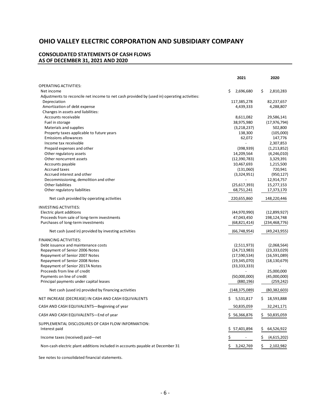#### **CONSOLIDATED STATEMENTS OF CASH FLOWS AS OF DECEMBER 31, 2021 AND 2020**

|                                                                                             | 2021             | 2020                    |
|---------------------------------------------------------------------------------------------|------------------|-------------------------|
| OPERATING ACTIVITIES:                                                                       |                  |                         |
| Net income                                                                                  | \$<br>2,696,680  | \$<br>2,810,283         |
| Adjustments to reconcile net income to net cash provided by (used in) operating activities: |                  |                         |
| Depreciation                                                                                | 117,385,278      | 82,237,657              |
| Amortization of debt expense                                                                | 4,439,333        | 4,288,807               |
| Changes in assets and liabilities:                                                          |                  |                         |
| Accounts receivable                                                                         | 8,611,082        | 29,586,141              |
| Fuel in storage                                                                             | 38,975,980       | (17, 976, 794)          |
| Materials and supplies                                                                      | (3,218,237)      | 502,800                 |
| Property taxes applicable to future years                                                   | 138,300          | (105,000)               |
| <b>Emissions allowances</b>                                                                 | 62,072           | 147,776                 |
| Income tax receivable                                                                       |                  | 2,307,853               |
| Prepaid expenses and other                                                                  | (398, 939)       | (1,213,852)             |
| Other regulatory assets                                                                     | 14,209,564       | (4,246,010)             |
| Other noncurrent assets                                                                     | (12,390,783)     | 3,329,391               |
| Accounts payable                                                                            | 10,467,693       | 1,215,500               |
| <b>Accrued taxes</b>                                                                        | (131,060)        | 720,941                 |
| Accrued interest and other                                                                  | (3,324,951)      | (950, 127)              |
| Decommissioning, demolition and other                                                       |                  | 12,914,757              |
| Other liabilities                                                                           | (25,617,393)     | 15,277,153              |
| Other regulatory liabilities                                                                | 68,751,241       | 17,373,170              |
| Net cash provided by operating activities                                                   | 220,655,860      | 148,220,446             |
| <b>INVESTING ACTIVITIES:</b>                                                                |                  |                         |
| Electric plant additions                                                                    | (44,970,990)     | (12,899,927)            |
| Proceeds from sale of long-term investments                                                 | 47,043,450       | 198,124,748             |
| Purchases of long-term investments                                                          | (68, 821, 414)   | (234, 468, 776)         |
| Net cash (used in) provided by investing activities                                         | (66, 748, 954)   | (49, 243, 955)          |
| FINANCING ACTIVITIES:                                                                       |                  |                         |
| Debt issuance and maintenance costs                                                         | (2,511,973)      | (2,068,564)             |
| Repayment of Senior 2006 Notes                                                              | (24, 713, 983)   | (23, 333, 029)          |
| Repayment of Senior 2007 Notes                                                              | (17,590,534)     | (16,591,089)            |
| Repayment of Senior 2008 Notes                                                              | (19,345,070)     | (18, 130, 679)          |
| Repayment of Senior 2017A Notes                                                             | (33, 333, 333)   |                         |
| Proceeds from line of credit                                                                |                  | 25,000,000              |
| Payments on line of credit                                                                  | (50,000,000)     | (45,000,000)            |
| Principal payments under capital leases                                                     | (880, 196)       | (259, 242)              |
| Net cash (used in) provided by financing activities                                         | (148, 375, 089)  | (80, 382, 603)          |
| NET INCREASE (DECREASE) IN CASH AND CASH EQUIVALENTS                                        | \$<br>5,531,817  | \$.<br>18,593,888       |
| CASH AND CASH EQUIVALENTS—Beginning of year                                                 | 50,835,059       | 32,241,171              |
| CASH AND CASH EQUIVALENTS-End of year                                                       | \$<br>56,366,876 | Ş<br>50,835,059         |
| SUPPLEMENTAL DISCLOSURES OF CASH FLOW INFORMATION:<br>Interest paid                         | Ş.<br>57,401,894 | <u>\$</u><br>64,526,922 |
| Income taxes (received) paid-net                                                            | \$               | \$<br>(4,615,202)       |
|                                                                                             |                  |                         |
| Non-cash electric plant additions included in accounts payable at December 31               | 3,242,769        | \$<br>2,102,982         |

See notes to consolidated financial statements.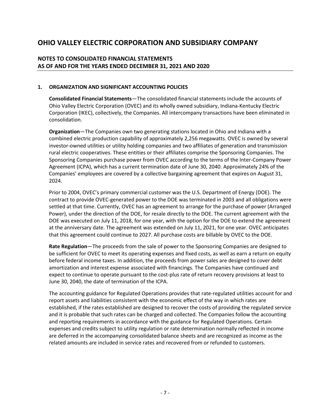## **NOTES TO CONSOLIDATED FINANCIAL STATEMENTS AS OF AND FOR THE YEARS ENDED DECEMBER 31, 2021 AND 2020**

## **1. ORGANIZATION AND SIGNIFICANT ACCOUNTING POLICIES**

**Consolidated Financial Statements**—The consolidated financial statements include the accounts of Ohio Valley Electric Corporation (OVEC) and its wholly owned subsidiary, Indiana-Kentucky Electric Corporation (IKEC), collectively, the Companies. All intercompany transactions have been eliminated in consolidation.

**Organization**—The Companies own two generating stations located in Ohio and Indiana with a combined electric production capability of approximately 2,256 megawatts. OVEC is owned by several investor-owned utilities or utility holding companies and two affiliates of generation and transmission rural electric cooperatives. These entities or their affiliates comprise the Sponsoring Companies. The Sponsoring Companies purchase power from OVEC according to the terms of the Inter-Company Power Agreement (ICPA), which has a current termination date of June 30, 2040. Approximately 24% of the Companies' employees are covered by a collective bargaining agreement that expires on August 31, 2024.

Prior to 2004, OVEC's primary commercial customer was the U.S. Department of Energy (DOE). The contract to provide OVEC-generated power to the DOE was terminated in 2003 and all obligations were settled at that time. Currently, OVEC has an agreement to arrange for the purchase of power (Arranged Power), under the direction of the DOE, for resale directly to the DOE. The current agreement with the DOE was executed on July 11, 2018, for one year, with the option for the DOE to extend the agreement at the anniversary date. The agreement was extended on July 11, 2021, for one year. OVEC anticipates that this agreement could continue to 2027. All purchase costs are billable by OVEC to the DOE.

**Rate Regulation**—The proceeds from the sale of power to the Sponsoring Companies are designed to be sufficient for OVEC to meet its operating expenses and fixed costs, as well as earn a return on equity before federal income taxes. In addition, the proceeds from power sales are designed to cover debt amortization and interest expense associated with financings. The Companies have continued and expect to continue to operate pursuant to the cost-plus rate of return recovery provisions at least to June 30, 2040, the date of termination of the ICPA.

The accounting guidance for Regulated Operations provides that rate-regulated utilities account for and report assets and liabilities consistent with the economic effect of the way in which rates are established, if the rates established are designed to recover the costs of providing the regulated service and it is probable that such rates can be charged and collected. The Companies follow the accounting and reporting requirements in accordance with the guidance for Regulated Operations. Certain expenses and credits subject to utility regulation or rate determination normally reflected in income are deferred in the accompanying consolidated balance sheets and are recognized as income as the related amounts are included in service rates and recovered from or refunded to customers.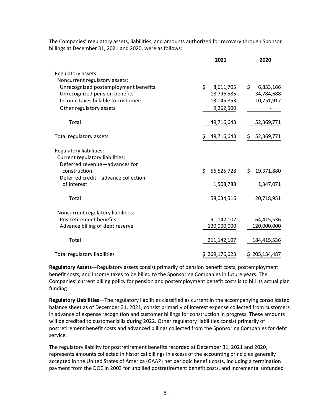|                                      | 2021             | 2020             |
|--------------------------------------|------------------|------------------|
| Regulatory assets:                   |                  |                  |
| Noncurrent regulatory assets:        |                  |                  |
| Unrecognized postemployment benefits | \$<br>8,611,705  | \$<br>6,833,166  |
| Unrecognized pension benefits        | 18,796,585       | 34,784,688       |
| Income taxes billable to customers   | 13,045,853       | 10,751,917       |
| Other regulatory assets              | 9,262,500        |                  |
|                                      |                  |                  |
| Total                                | 49,716,643       | 52,369,771       |
| Total regulatory assets              | \$<br>49,716,643 | 52,369,771<br>\$ |
| Regulatory liabilities:              |                  |                  |
| Current regulatory liabilities:      |                  |                  |
| Deferred revenue-advances for        |                  |                  |
| construction                         | Ś.<br>56,525,728 | \$<br>19,371,880 |
| Deferred credit-advance collection   |                  |                  |
| of interest                          | 1,508,788        | 1,347,071        |
| Total                                | 58,034,516       | 20,718,951       |
|                                      |                  |                  |
| Noncurrent regulatory liabilities:   |                  |                  |
| <b>Postretirement benefits</b>       | 91,142,107       | 64,415,536       |
| Advance billing of debt reserve      | 120,000,000      | 120,000,000      |
| Total                                | 211,142,107      | 184,415,536      |
| <b>Total regulatory liabilities</b>  | \$269,176,623    | \$205,134,487    |

The Companies' regulatory assets, liabilities, and amounts authorized for recovery through Sponsor billings at December 31, 2021 and 2020, were as follows:

**Regulatory Assets**—Regulatory assets consist primarily of pension benefit costs, postemployment benefit costs, and income taxes to be billed to the Sponsoring Companies in future years. The Companies' current billing policy for pension and postemployment benefit costs is to bill its actual plan funding.

**Regulatory Liabilities**—The regulatory liabilities classified as current in the accompanying consolidated balance sheet as of December 31, 2021, consist primarily of interest expense collected from customers in advance of expense recognition and customer billings for construction in progress. These amounts will be credited to customer bills during 2022. Other regulatory liabilities consist primarily of postretirement benefit costs and advanced billings collected from the Sponsoring Companies for debt service.

The regulatory liability for postretirement benefits recorded at December 31, 2021 and 2020, represents amounts collected in historical billings in excess of the accounting principles generally accepted in the United States of America (GAAP) net periodic benefit costs, including a termination payment from the DOE in 2003 for unbilled postretirement benefit costs, and incremental unfunded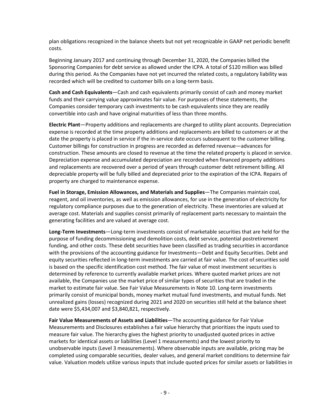plan obligations recognized in the balance sheets but not yet recognizable in GAAP net periodic benefit costs.

Beginning January 2017 and continuing through December 31, 2020, the Companies billed the Sponsoring Companies for debt service as allowed under the ICPA. A total of \$120 million was billed during this period. As the Companies have not yet incurred the related costs, a regulatory liability was recorded which will be credited to customer bills on a long-term basis.

**Cash and Cash Equivalents**—Cash and cash equivalents primarily consist of cash and money market funds and their carrying value approximates fair value. For purposes of these statements, the Companies consider temporary cash investments to be cash equivalents since they are readily convertible into cash and have original maturities of less than three months.

**Electric Plant**—Property additions and replacements are charged to utility plant accounts. Depreciation expense is recorded at the time property additions and replacements are billed to customers or at the date the property is placed in service if the in-service date occurs subsequent to the customer billing. Customer billings for construction in progress are recorded as deferred revenue—advances for construction. These amounts are closed to revenue at the time the related property is placed in service. Depreciation expense and accumulated depreciation are recorded when financed property additions and replacements are recovered over a period of years through customer debt retirement billing. All depreciable property will be fully billed and depreciated prior to the expiration of the ICPA. Repairs of property are charged to maintenance expense.

**Fuel in Storage, Emission Allowances, and Materials and Supplies**—The Companies maintain coal, reagent, and oil inventories, as well as emission allowances, for use in the generation of electricity for regulatory compliance purposes due to the generation of electricity. These inventories are valued at average cost. Materials and supplies consist primarily of replacement parts necessary to maintain the generating facilities and are valued at average cost.

**Long-Term Investments**—Long-term investments consist of marketable securities that are held for the purpose of funding decommissioning and demolition costs, debt service, potential postretirement funding, and other costs. These debt securities have been classified as trading securities in accordance with the provisions of the accounting guidance for Investments—Debt and Equity Securities. Debt and equity securities reflected in long-term investments are carried at fair value. The cost of securities sold is based on the specific identification cost method. The fair value of most investment securities is determined by reference to currently available market prices. Where quoted market prices are not available, the Companies use the market price of similar types of securities that are traded in the market to estimate fair value. See Fair Value Measurements in Note 10. Long-term investments primarily consist of municipal bonds, money market mutual fund investments, and mutual funds. Net unrealized gains (losses) recognized during 2021 and 2020 on securities still held at the balance sheet date were \$5,434,007 and \$3,840,821, respectively.

**Fair Value Measurements of Assets and Liabilities**—The accounting guidance for Fair Value Measurements and Disclosures establishes a fair value hierarchy that prioritizes the inputs used to measure fair value. The hierarchy gives the highest priority to unadjusted quoted prices in active markets for identical assets or liabilities (Level 1 measurements) and the lowest priority to unobservable inputs (Level 3 measurements). Where observable inputs are available, pricing may be completed using comparable securities, dealer values, and general market conditions to determine fair value. Valuation models utilize various inputs that include quoted prices for similar assets or liabilities in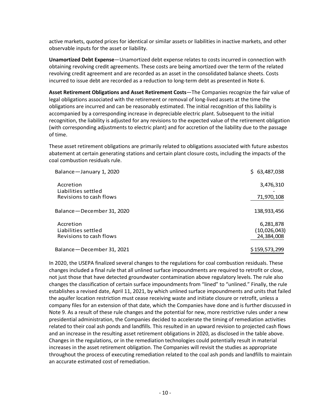active markets, quoted prices for identical or similar assets or liabilities in inactive markets, and other observable inputs for the asset or liability.

**Unamortized Debt Expense**—Unamortized debt expense relates to costs incurred in connection with obtaining revolving credit agreements. These costs are being amortized over the term of the related revolving credit agreement and are recorded as an asset in the consolidated balance sheets. Costs incurred to issue debt are recorded as a reduction to long-term debt as presented in Note 6.

**Asset Retirement Obligations and Asset Retirement Costs**—The Companies recognize the fair value of legal obligations associated with the retirement or removal of long-lived assets at the time the obligations are incurred and can be reasonably estimated. The initial recognition of this liability is accompanied by a corresponding increase in depreciable electric plant. Subsequent to the initial recognition, the liability is adjusted for any revisions to the expected value of the retirement obligation (with corresponding adjustments to electric plant) and for accretion of the liability due to the passage of time.

These asset retirement obligations are primarily related to obligations associated with future asbestos abatement at certain generating stations and certain plant closure costs, including the impacts of the coal combustion residuals rule.

| Balance-January 1, 2020                        | \$63,487,038  |
|------------------------------------------------|---------------|
| Accretion                                      | 3,476,310     |
| Liabilities settled<br>Revisions to cash flows | 71,970,108    |
| Balance - December 31, 2020                    | 138,933,456   |
| Accretion                                      | 6,281,878     |
| Liabilities settled                            | (10,026,043)  |
| Revisions to cash flows                        | 24,384,008    |
| Balance - December 31, 2021                    | \$159,573,299 |

In 2020, the USEPA finalized several changes to the regulations for coal combustion residuals. These changes included a final rule that all unlined surface impoundments are required to retrofit or close, not just those that have detected groundwater contamination above regulatory levels. The rule also changes the classification of certain surface impoundments from "lined" to "unlined." Finally, the rule establishes a revised date, April 11, 2021, by which unlined surface impoundments and units that failed the aquifer location restriction must cease receiving waste and initiate closure or retrofit, unless a company files for an extension of that date, which the Companies have done and is further discussed in Note 9. As a result of these rule changes and the potential for new, more restrictive rules under a new presidential administration, the Companies decided to accelerate the timing of remediation activities related to their coal ash ponds and landfills. This resulted in an upward revision to projected cash flows and an increase in the resulting asset retirement obligations in 2020, as disclosed in the table above. Changes in the regulations, or in the remediation technologies could potentially result in material increases in the asset retirement obligation. The Companies will revisit the studies as appropriate throughout the process of executing remediation related to the coal ash ponds and landfills to maintain an accurate estimated cost of remediation.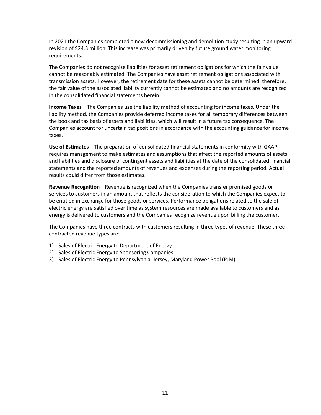In 2021 the Companies completed a new decommissioning and demolition study resulting in an upward revision of \$24.3 million. This increase was primarily driven by future ground water monitoring requirements.

The Companies do not recognize liabilities for asset retirement obligations for which the fair value cannot be reasonably estimated. The Companies have asset retirement obligations associated with transmission assets. However, the retirement date for these assets cannot be determined; therefore, the fair value of the associated liability currently cannot be estimated and no amounts are recognized in the consolidated financial statements herein.

**Income Taxes**—The Companies use the liability method of accounting for income taxes. Under the liability method, the Companies provide deferred income taxes for all temporary differences between the book and tax basis of assets and liabilities, which will result in a future tax consequence. The Companies account for uncertain tax positions in accordance with the accounting guidance for income taxes.

**Use of Estimates**—The preparation of consolidated financial statements in conformity with GAAP requires management to make estimates and assumptions that affect the reported amounts of assets and liabilities and disclosure of contingent assets and liabilities at the date of the consolidated financial statements and the reported amounts of revenues and expenses during the reporting period. Actual results could differ from those estimates.

**Revenue Recognition**—Revenue is recognized when the Companies transfer promised goods or services to customers in an amount that reflects the consideration to which the Companies expect to be entitled in exchange for those goods or services. Performance obligations related to the sale of electric energy are satisfied over time as system resources are made available to customers and as energy is delivered to customers and the Companies recognize revenue upon billing the customer.

The Companies have three contracts with customers resulting in three types of revenue. These three contracted revenue types are:

- 1) Sales of Electric Energy to Department of Energy
- 2) Sales of Electric Energy to Sponsoring Companies
- 3) Sales of Electric Energy to Pennsylvania, Jersey, Maryland Power Pool (PJM)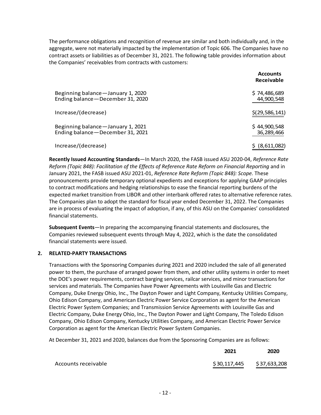The performance obligations and recognition of revenue are similar and both individually and, in the aggregate, were not materially impacted by the implementation of Topic 606. The Companies have no contract assets or liabilities as of December 31, 2021. The following table provides information about the Companies' receivables from contracts with customers:

|                                                                         | <b>Accounts</b><br><b>Receivable</b> |
|-------------------------------------------------------------------------|--------------------------------------|
| Beginning balance - January 1, 2020<br>Ending balance-December 31, 2020 | \$74,486,689<br>44,900,548           |
| Increase/(decrease)                                                     | \$(29, 586, 141)                     |
| Beginning balance - January 1, 2021<br>Ending balance-December 31, 2021 | \$44,900,548<br>36,289,466           |
| Increase/(decrease)                                                     | (8,611,082)                          |

**Recently Issued Accounting Standards**—In March 2020, the FASB issued ASU 2020-04, *Reference Rate Reform (Topic 848): Facilitation of the Effects of Reference Rate Reform on Financial Reporting* and in January 2021, the FASB issued ASU 2021-01, *Reference Rate Reform (Topic 848): Scope.* These pronouncements provide temporary optional expedients and exceptions for applying GAAP principles to contract modifications and hedging relationships to ease the financial reporting burdens of the expected market transition from LIBOR and other interbank offered rates to alternative reference rates. The Companies plan to adopt the standard for fiscal year ended December 31, 2022. The Companies are in process of evaluating the impact of adoption, if any, of this ASU on the Companies' consolidated financial statements.

**Subsequent Events**—In preparing the accompanying financial statements and disclosures, the Companies reviewed subsequent events through May 4, 2022, which is the date the consolidated financial statements were issued.

## **2. RELATED-PARTY TRANSACTIONS**

Transactions with the Sponsoring Companies during 2021 and 2020 included the sale of all generated power to them, the purchase of arranged power from them, and other utility systems in order to meet the DOE's power requirements, contract barging services, railcar services, and minor transactions for services and materials. The Companies have Power Agreements with Louisville Gas and Electric Company, Duke Energy Ohio, Inc., The Dayton Power and Light Company, Kentucky Utilities Company, Ohio Edison Company, and American Electric Power Service Corporation as agent for the American Electric Power System Companies; and Transmission Service Agreements with Louisville Gas and Electric Company, Duke Energy Ohio, Inc., The Dayton Power and Light Company, The Toledo Edison Company, Ohio Edison Company, Kentucky Utilities Company, and American Electric Power Service Corporation as agent for the American Electric Power System Companies.

At December 31, 2021 and 2020, balances due from the Sponsoring Companies are as follows:

|                     | 2021         | 2020         |
|---------------------|--------------|--------------|
| Accounts receivable | \$30,117,445 | \$37,633,208 |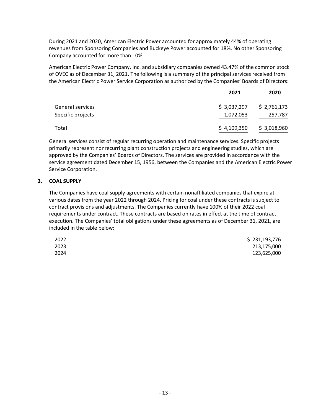During 2021 and 2020, American Electric Power accounted for approximately 44% of operating revenues from Sponsoring Companies and Buckeye Power accounted for 18%. No other Sponsoring Company accounted for more than 10%.

American Electric Power Company, Inc. and subsidiary companies owned 43.47% of the common stock of OVEC as of December 31, 2021. The following is a summary of the principal services received from the American Electric Power Service Corporation as authorized by the Companies' Boards of Directors:

|                   | 2021        | 2020        |
|-------------------|-------------|-------------|
| General services  | \$3,037,297 | \$2,761,173 |
| Specific projects | 1,072,053   | 257,787     |
| Total             | \$4,109,350 | \$3,018,960 |

General services consist of regular recurring operation and maintenance services. Specific projects primarily represent nonrecurring plant construction projects and engineering studies, which are approved by the Companies' Boards of Directors. The services are provided in accordance with the service agreement dated December 15, 1956, between the Companies and the American Electric Power Service Corporation.

## **3. COAL SUPPLY**

The Companies have coal supply agreements with certain nonaffiliated companies that expire at various dates from the year 2022 through 2024. Pricing for coal under these contracts is subject to contract provisions and adjustments. The Companies currently have 100% of their 2022 coal requirements under contract. These contracts are based on rates in effect at the time of contract execution. The Companies' total obligations under these agreements as of December 31, 2021, are included in the table below:

| 2022 | \$231,193,776 |
|------|---------------|
| 2023 | 213,175,000   |
| 2024 | 123,625,000   |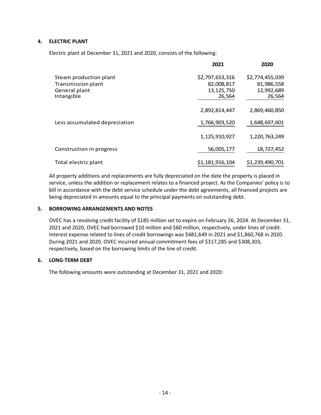## **4. ELECTRIC PLANT**

Electric plant at December 31, 2021 and 2020, consists of the following:

|                               | 2021                   | 2020                 |
|-------------------------------|------------------------|----------------------|
| Steam production plant        | \$2,797,653,316        | \$2,774,455,039      |
| <b>Transmission plant</b>     | 82,008,817             | 81,986,558           |
| General plant<br>Intangible   | 13, 125, 750<br>26,564 | 12,992,689<br>26,564 |
|                               | 2,892,814,447          | 2,869,460,850        |
| Less accumulated depreciation | 1,766,903,520          | 1,648,697,601        |
|                               | 1,125,910,927          | 1,220,763,249        |
| Construction in progress      | 56,005,177             | 18,727,452           |
| Total electric plant          | \$1,181,916,104        | \$1,239,490,701      |

All property additions and replacements are fully depreciated on the date the property is placed in service, unless the addition or replacement relates to a financed project. As the Companies' policy is to bill in accordance with the debt service schedule under the debt agreements, all financed projects are being depreciated in amounts equal to the principal payments on outstanding debt.

#### **5. BORROWING ARRANGEMENTS AND NOTES**

OVEC has a revolving credit facility of \$185 million set to expire on February 26, 2024. At December 31, 2021 and 2020, OVEC had borrowed \$10 million and \$60 million, respectively, under lines of credit. Interest expense related to lines of credit borrowings was \$481,649 in 2021 and \$1,860,768 in 2020. During 2021 and 2020, OVEC incurred annual commitment fees of \$317,285 and \$308,303, respectively, based on the borrowing limits of the line of credit.

## **6. LONG-TERM DEBT**

The following amounts were outstanding at December 31, 2021 and 2020: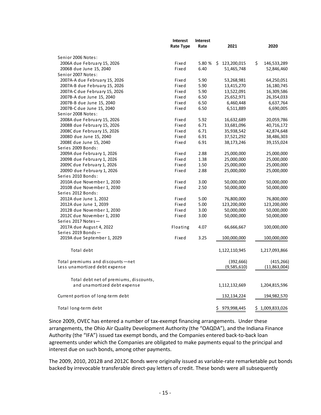|                                                                        | <b>Interest</b> | <b>Interest</b> |   |               |                   |
|------------------------------------------------------------------------|-----------------|-----------------|---|---------------|-------------------|
|                                                                        | Rate Type       | Rate            |   | 2021          | 2020              |
| Senior 2006 Notes:                                                     |                 |                 |   |               |                   |
| 2006A due February 15, 2026                                            | Fixed           | 5.80 %          |   | \$123,200,015 | \$<br>146,533,289 |
| 2006B due June 15, 2040                                                | Fixed           | 6.40            |   | 51,465,748    | 52,846,460        |
| Senior 2007 Notes:                                                     |                 |                 |   |               |                   |
| 2007A-A due February 15, 2026                                          | Fixed           | 5.90            |   | 53,268,981    | 64,250,051        |
| 2007A-B due February 15, 2026                                          | Fixed           | 5.90            |   | 13,415,270    | 16,180,745        |
| 2007A-C due February 15, 2026                                          | Fixed           | 5.90            |   | 13,522,091    | 16,309,586        |
| 2007B-A due June 15, 2040                                              | Fixed           | 6.50            |   | 25,652,971    | 26,354,033        |
| 2007B-B due June 15, 2040                                              | Fixed           | 6.50            |   | 6,460,448     | 6,637,764         |
| 2007B-C due June 15, 2040                                              | Fixed           | 6.50            |   | 6,511,889     | 6,690,005         |
| Senior 2008 Notes:                                                     |                 |                 |   |               |                   |
| 2008A due February 15, 2026                                            | Fixed           | 5.92            |   | 16,632,689    | 20,059,786        |
| 2008B due February 15, 2026                                            | Fixed           | 6.71            |   | 33,681,096    | 40,716,172        |
| 2008C due February 15, 2026                                            | Fixed           | 6.71            |   | 35,938,542    | 42,874,648        |
| 2008D due June 15, 2040                                                | Fixed           | 6.91            |   | 37,521,292    | 38,486,303        |
| 2008E due June 15, 2040                                                | Fixed           | 6.91            |   | 38,173,246    | 39,155,024        |
| Series 2009 Bonds:                                                     |                 |                 |   |               |                   |
| 2009A due February 1, 2026                                             | Fixed           | 2.88            |   | 25,000,000    | 25,000,000        |
| 2009B due February 1, 2026                                             | Fixed           | 1.38            |   | 25,000,000    | 25,000,000        |
| 2009C due February 1, 2026                                             | Fixed           | 1.50            |   | 25,000,000    | 25,000,000        |
| 2009D due February 1, 2026                                             | Fixed           | 2.88            |   | 25,000,000    | 25,000,000        |
| Series 2010 Bonds:                                                     |                 |                 |   |               |                   |
| 2010A due November 1, 2030                                             | Fixed           | 3.00            |   | 50,000,000    | 50,000,000        |
| 2010B due November 1, 2030                                             | Fixed           | 2.50            |   | 50,000,000    | 50,000,000        |
| Series 2012 Bonds:                                                     |                 |                 |   |               |                   |
| 2012A due June 1, 2032                                                 | Fixed           | 5.00            |   | 76,800,000    | 76,800,000        |
| 2012A due June 1, 2039                                                 | Fixed           | 5.00            |   | 123,200,000   | 123,200,000       |
| 2012B due November 1, 2030                                             | Fixed           | 3.00            |   | 50,000,000    | 50,000,000        |
| 2012C due November 1, 2030                                             | Fixed           | 3.00            |   | 50,000,000    | 50,000,000        |
| Series 2017 Notes-                                                     |                 |                 |   |               |                   |
| 2017A due August 4, 2022                                               | Floating        | 4.07            |   | 66,666,667    | 100,000,000       |
| Series 2019 Bonds-                                                     |                 |                 |   |               |                   |
| 2019A due September 1, 2029                                            | Fixed           | 3.25            |   | 100,000,000   | 100,000,000       |
| Total debt                                                             |                 |                 |   | 1,122,110,945 | 1,217,093,866     |
| Total premiums and discounts-net                                       |                 |                 |   | (392, 666)    | (415, 266)        |
| Less unamortized debt expense                                          |                 |                 |   | (9,585,610)   | (11,863,004)      |
|                                                                        |                 |                 |   |               |                   |
| Total debt net of premiums, discounts,<br>and unamortized debt expense |                 |                 |   |               |                   |
|                                                                        |                 |                 |   | 1,112,132,669 | 1,204,815,596     |
| Current portion of long-term debt                                      |                 |                 |   | 132,134,224   | 194,982,570       |
| Total long-term debt                                                   |                 |                 | Ś | 979,998,445   | \$1,009,833,026   |

Since 2009, OVEC has entered a number of tax-exempt financing arrangements. Under these arrangements, the Ohio Air Quality Development Authority (the "OAQDA"), and the Indiana Finance Authority (the "IFA") issued tax exempt bonds, and the Companies entered back-to-back loan agreements under which the Companies are obligated to make payments equal to the principal and interest due on such bonds, among other payments.

The 2009, 2010, 2012B and 2012C Bonds were originally issued as variable-rate remarketable put bonds backed by irrevocable transferable direct-pay letters of credit. These bonds were all subsequently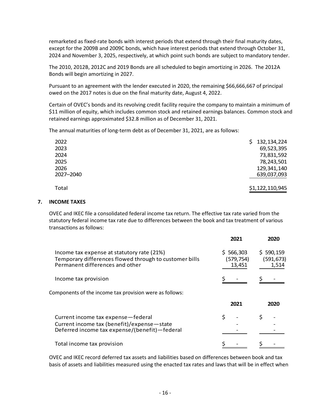remarketed as fixed-rate bonds with interest periods that extend through their final maturity dates, except for the 2009B and 2009C bonds, which have interest periods that extend through October 31, 2024 and November 3, 2025, respectively, at which point such bonds are subject to mandatory tender.

The 2010, 2012B, 2012C and 2019 Bonds are all scheduled to begin amortizing in 2026. The 2012A Bonds will begin amortizing in 2027.

Pursuant to an agreement with the lender executed in 2020, the remaining \$66,666,667 of principal owed on the 2017 notes is due on the final maturity date, August 4, 2022.

Certain of OVEC's bonds and its revolving credit facility require the company to maintain a minimum of \$11 million of equity, which includes common stock and retained earnings balances. Common stock and retained earnings approximated \$32.8 million as of December 31, 2021.

The annual maturities of long-term debt as of December 31, 2021, are as follows:

| 2022      | \$132,134,224   |
|-----------|-----------------|
| 2023      | 69,523,395      |
| 2024      | 73,831,592      |
| 2025      | 78,243,501      |
| 2026      | 129,341,140     |
| 2027-2040 | 639,037,093     |
| Total     | \$1,122,110,945 |

## **7. INCOME TAXES**

OVEC and IKEC file a consolidated federal income tax return. The effective tax rate varied from the statutory federal income tax rate due to differences between the book and tax treatment of various transactions as follows:

|                                                                                                                                         | 2021                             | 2020                             |
|-----------------------------------------------------------------------------------------------------------------------------------------|----------------------------------|----------------------------------|
| Income tax expense at statutory rate (21%)<br>Temporary differences flowed through to customer bills<br>Permanent differences and other | \$566,303<br>(579,754)<br>13,451 | \$590,159<br>(591, 673)<br>1,514 |
| Income tax provision                                                                                                                    |                                  |                                  |
| Components of the income tax provision were as follows:                                                                                 |                                  |                                  |
|                                                                                                                                         | 2021                             | 2020                             |
| Current income tax expense-federal<br>Current income tax (benefit)/expense-state<br>Deferred income tax expense/(benefit)-federal       |                                  |                                  |
| Total income tax provision                                                                                                              |                                  |                                  |

OVEC and IKEC record deferred tax assets and liabilities based on differences between book and tax basis of assets and liabilities measured using the enacted tax rates and laws that will be in effect when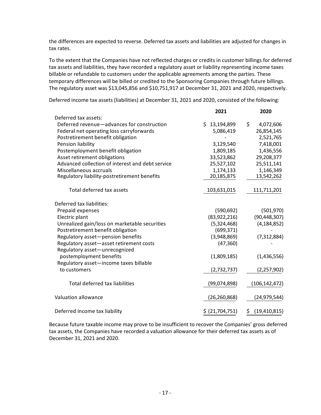the differences are expected to reverse. Deferred tax assets and liabilities are adjusted for changes in tax rates.

To the extent that the Companies have not reflected charges or credits in customer billings for deferred tax assets and liabilities, they have recorded a regulatory asset or liability representing income taxes billable or refundable to customers under the applicable agreements among the parties. These temporary differences will be billed or credited to the Sponsoring Companies through future billings. The regulatory asset was \$13,045,856 and \$10,751,917 at December 31, 2021 and 2020, respectively.

**2021 2020**

Deferred tax assets: Deferred revenue—advances for construction <br>  $\begin{array}{ccc} 5 & 13,194,899 & 5 & 4,072,606 \end{array}$  Federal net operating loss carryforwards 5,086,419 26,854,145 Postretirement benefit obligation - 2,521,765 Pension liability 3,129,540 7,418,001 Postemployment benefit obligation 1,809,185 1,436,556 Asset retirement obligations 33,523,862 29,208,377 Advanced collection of interest and debt service 25,527,102 25,511,141 Miscellaneous accruals 1,174,133 1,146,349<br>Regulatory liability-postretirement benefits 1,174,133 13,542,262 Regulatory liability-postretirement benefits Total deferred tax assets 103,631,015 111,711,201 Deferred tax liabilities: Prepaid expenses (590,692) (501,970) Electric plant (83,922,216) (90,448,307) Unrealized gain/loss on marketable securities (5,324,468) (4,184,852) Postretirement benefit obligation and the control of the control of the control of the control of the control o Regulatory asset—pension benefits (3,948,869) (7,312,884) Regulatory asset—asset retirement costs (47,360) Regulatory asset—unrecognized postemployment benefits (1,809,185) (1,436,556) Regulatory asset—income taxes billable to customers (2,732,737) (2,257,902) Total deferred tax liabilities (99,074,898) (106,142,472) Valuation allowance (26,260,868) (24,979,544) Deferred income tax liability  $(21,704,751)$   $(19,410,815)$ 

Deferred income tax assets (liabilities) at December 31, 2021 and 2020, consisted of the following:

Because future taxable income may prove to be insufficient to recover the Companies' gross deferred tax assets, the Companies have recorded a valuation allowance for their deferred tax assets as of December 31, 2021 and 2020.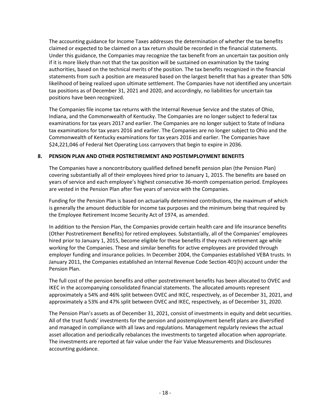The accounting guidance for Income Taxes addresses the determination of whether the tax benefits claimed or expected to be claimed on a tax return should be recorded in the financial statements. Under this guidance, the Companies may recognize the tax benefit from an uncertain tax position only if it is more likely than not that the tax position will be sustained on examination by the taxing authorities, based on the technical merits of the position. The tax benefits recognized in the financial statements from such a position are measured based on the largest benefit that has a greater than 50% likelihood of being realized upon ultimate settlement. The Companies have not identified any uncertain tax positions as of December 31, 2021 and 2020, and accordingly, no liabilities for uncertain tax positions have been recognized.

The Companies file income tax returns with the Internal Revenue Service and the states of Ohio, Indiana, and the Commonwealth of Kentucky. The Companies are no longer subject to federal tax examinations for tax years 2017 and earlier. The Companies are no longer subject to State of Indiana tax examinations for tax years 2016 and earlier. The Companies are no longer subject to Ohio and the Commonwealth of Kentucky examinations for tax years 2016 and earlier. The Companies have \$24,221,046 of Federal Net Operating Loss carryovers that begin to expire in 2036.

## **8. PENSION PLAN AND OTHER POSTRETIREMENT AND POSTEMPLOYMENT BENEFITS**

The Companies have a noncontributory qualified defined benefit pension plan (the Pension Plan) covering substantially all of their employees hired prior to January 1, 2015. The benefits are based on years of service and each employee's highest consecutive 36-month compensation period. Employees are vested in the Pension Plan after five years of service with the Companies.

Funding for the Pension Plan is based on actuarially determined contributions, the maximum of which is generally the amount deductible for income tax purposes and the minimum being that required by the Employee Retirement Income Security Act of 1974, as amended.

In addition to the Pension Plan, the Companies provide certain health care and life insurance benefits (Other Postretirement Benefits) for retired employees. Substantially, all of the Companies' employees hired prior to January 1, 2015, become eligible for these benefits if they reach retirement age while working for the Companies. These and similar benefits for active employees are provided through employer funding and insurance policies. In December 2004, the Companies established VEBA trusts. In January 2011, the Companies established an Internal Revenue Code Section 401(h) account under the Pension Plan.

The full cost of the pension benefits and other postretirement benefits has been allocated to OVEC and IKEC in the accompanying consolidated financial statements. The allocated amounts represent approximately a 54% and 46% split between OVEC and IKEC, respectively, as of December 31, 2021, and approximately a 53% and 47% split between OVEC and IKEC, respectively, as of December 31, 2020.

The Pension Plan's assets as of December 31, 2021, consist of investments in equity and debt securities. All of the trust funds' investments for the pension and postemployment benefit plans are diversified and managed in compliance with all laws and regulations. Management regularly reviews the actual asset allocation and periodically rebalances the investments to targeted allocation when appropriate. The investments are reported at fair value under the Fair Value Measurements and Disclosures accounting guidance.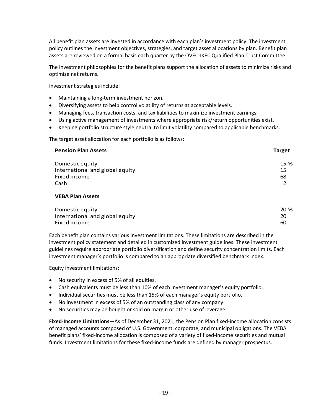All benefit plan assets are invested in accordance with each plan's investment policy. The investment policy outlines the investment objectives, strategies, and target asset allocations by plan. Benefit plan assets are reviewed on a formal basis each quarter by the OVEC-IKEC Qualified Plan Trust Committee.

The investment philosophies for the benefit plans support the allocation of assets to minimize risks and optimize net returns.

Investment strategies include:

- Maintaining a long-term investment horizon.
- Diversifying assets to help control volatility of returns at acceptable levels.
- Managing fees, transaction costs, and tax liabilities to maximize investment earnings.
- Using active management of investments where appropriate risk/return opportunities exist.
- Keeping portfolio structure style neutral to limit volatility compared to applicable benchmarks.

The target asset allocation for each portfolio is as follows:

| <b>Pension Plan Assets</b>      | <b>Target</b> |
|---------------------------------|---------------|
| Domestic equity                 | 15 %          |
| International and global equity | 15            |
| Fixed income                    | 68            |
| Cash                            |               |
| <b>VEBA Plan Assets</b>         |               |

| Domestic equity                 | 20 % |
|---------------------------------|------|
| International and global equity | 20   |
| Fixed income                    | 60   |

Each benefit plan contains various investment limitations. These limitations are described in the investment policy statement and detailed in customized investment guidelines. These investment guidelines require appropriate portfolio diversification and define security concentration limits. Each investment manager's portfolio is compared to an appropriate diversified benchmark index.

Equity investment limitations:

- No security in excess of 5% of all equities.
- Cash equivalents must be less than 10% of each investment manager's equity portfolio.
- Individual securities must be less than 15% of each manager's equity portfolio.
- No investment in excess of 5% of an outstanding class of any company.
- No securities may be bought or sold on margin or other use of leverage.

**Fixed-Income Limitations**—As of December 31, 2021, the Pension Plan fixed-income allocation consists of managed accounts composed of U.S. Government, corporate, and municipal obligations. The VEBA benefit plans' fixed-income allocation is composed of a variety of fixed-income securities and mutual funds. Investment limitations for these fixed-income funds are defined by manager prospectus.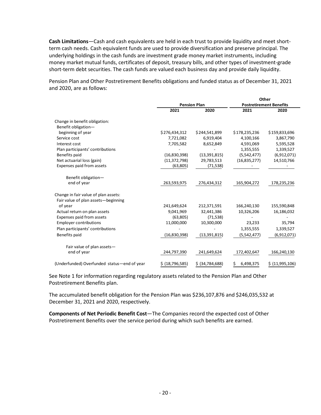**Cash Limitations**—Cash and cash equivalents are held in each trust to provide liquidity and meet shortterm cash needs. Cash equivalent funds are used to provide diversification and preserve principal. The underlying holdings in the cash funds are investment grade money market instruments, including money market mutual funds, certificates of deposit, treasury bills, and other types of investment-grade short-term debt securities. The cash funds are valued each business day and provide daily liquidity.

Pension Plan and Other Postretirement Benefits obligations and funded status as of December 31, 2021 and 2020, are as follows:

|                                             |                   |                     |                 | Other                          |
|---------------------------------------------|-------------------|---------------------|-----------------|--------------------------------|
|                                             |                   | <b>Pension Plan</b> |                 | <b>Postretirement Benefits</b> |
|                                             | 2021              | 2020                | 2021            | 2020                           |
| Change in benefit obligation:               |                   |                     |                 |                                |
| Benefit obligation-                         |                   |                     |                 |                                |
| beginning of year                           | \$276,434,312     | \$244,541,899       | \$178,235,236   | \$159,833,696                  |
| Service cost                                | 7,721,082         | 6,919,404           | 4,100,166       | 3,867,790                      |
| Interest cost                               | 7,705,582         | 8,652,849           | 4,591,069       | 5,595,528                      |
| Plan participants' contributions            |                   |                     | 1,355,555       | 1,339,527                      |
| Benefits paid                               | (16, 830, 398)    | (13, 391, 815)      | (5,542,477)     | (6,912,071)                    |
| Net actuarial loss (gain)                   | (11, 372, 798)    | 29,783,513          | (16,835,277)    | 14,510,766                     |
| Expenses paid from assets                   | (63,805)          | (71, 538)           |                 |                                |
| Benefit obligation-                         |                   |                     |                 |                                |
| end of year                                 | 263,593,975       | 276,434,312         | 165,904,272     | 178,235,236                    |
| Change in fair value of plan assets:        |                   |                     |                 |                                |
| Fair value of plan assets-beginning         |                   |                     |                 |                                |
| of year                                     | 241,649,624       | 212,371,591         | 166,240,130     | 155,590,848                    |
| Actual return on plan assets                | 9,041,969         | 32,441,386          | 10,326,206      | 16,186,032                     |
| Expenses paid from assets                   | (63,805)          | (71, 538)           |                 |                                |
| <b>Employer contributions</b>               | 11,000,000        | 10,300,000          | 23,233          | 35,794                         |
| Plan participants' contributions            |                   |                     | 1,355,555       | 1,339,527                      |
| Benefits paid                               | (16,830,398)      | (13, 391, 815)      | (5,542,477)     | (6,912,071)                    |
| Fair value of plan assets-                  |                   |                     |                 |                                |
| end of year                                 | 244,797,390       | 241,649,624         | 172,402,647     | 166,240,130                    |
| (Underfunded) Overfunded status-end of year | \$ (18, 796, 585) | \$ (34, 784, 688)   | \$<br>6,498,375 | \$ (11,995,106)                |

See Note 1 for information regarding regulatory assets related to the Pension Plan and Other Postretirement Benefits plan.

The accumulated benefit obligation for the Pension Plan was \$236,107,876 and \$246,035,532 at December 31, 2021 and 2020, respectively.

**Components of Net Periodic Benefit Cost**—The Companies record the expected cost of Other Postretirement Benefits over the service period during which such benefits are earned.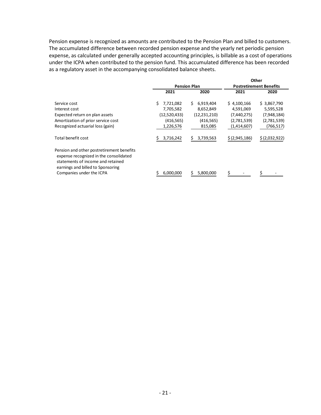Pension expense is recognized as amounts are contributed to the Pension Plan and billed to customers. The accumulated difference between recorded pension expense and the yearly net periodic pension expense, as calculated under generally accepted accounting principles, is billable as a cost of operations under the ICPA when contributed to the pension fund. This accumulated difference has been recorded as a regulatory asset in the accompanying consolidated balance sheets.

|                                                                                                                                                               |                 |                     |                                | Other         |  |
|---------------------------------------------------------------------------------------------------------------------------------------------------------------|-----------------|---------------------|--------------------------------|---------------|--|
|                                                                                                                                                               |                 | <b>Pension Plan</b> | <b>Postretirement Benefits</b> |               |  |
|                                                                                                                                                               | 2021            | 2020                | 2021                           | 2020          |  |
| Service cost                                                                                                                                                  | Ŝ.<br>7,721,082 | Ś.<br>6,919,404     | \$4,100,166                    | \$3,867,790   |  |
| Interest cost                                                                                                                                                 | 7,705,582       | 8,652,849           | 4,591,069                      | 5,595,528     |  |
| Expected return on plan assets                                                                                                                                | (12,520,433)    | (12, 231, 210)      | (7,440,275)                    | (7,948,184)   |  |
| Amortization of prior service cost                                                                                                                            | (416, 565)      | (416, 565)          | (2,781,539)                    | (2,781,539)   |  |
| Recognized actuarial loss (gain)                                                                                                                              | 1,226,576       | 815,085             | (1,414,607)                    | (766, 517)    |  |
| Total benefit cost                                                                                                                                            | 3,716,242       | 3,739,563           | \$(2,945,186)                  | \$(2,032,922) |  |
| Pension and other postretirement benefits<br>expense recognized in the consolidated<br>statements of income and retained<br>earnings and billed to Sponsoring |                 |                     |                                |               |  |
| Companies under the ICPA                                                                                                                                      | 6,000,000       | 5,800,000           |                                |               |  |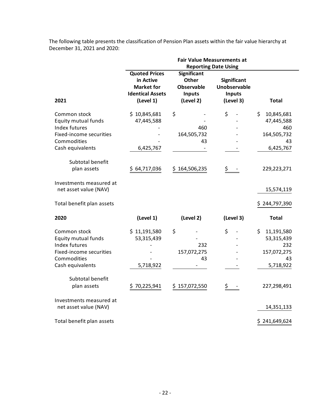|                                                                                                                                               | <b>Fair Value Measurements at</b><br><b>Reporting Date Using</b>                               |                                                                                |                                                                         |                                                                         |  |  |
|-----------------------------------------------------------------------------------------------------------------------------------------------|------------------------------------------------------------------------------------------------|--------------------------------------------------------------------------------|-------------------------------------------------------------------------|-------------------------------------------------------------------------|--|--|
| 2021                                                                                                                                          | <b>Quoted Prices</b><br>in Active<br><b>Market for</b><br><b>Identical Assets</b><br>(Level 1) | <b>Significant</b><br>Other<br><b>Observable</b><br><b>Inputs</b><br>(Level 2) | <b>Significant</b><br><b>Unobservable</b><br><b>Inputs</b><br>(Level 3) | <b>Total</b>                                                            |  |  |
| Common stock<br><b>Equity mutual funds</b><br>Index futures<br>Fixed-income securities<br>Commodities<br>Cash equivalents<br>Subtotal benefit | \$10,845,681<br>47,445,588<br>6,425,767                                                        | \$<br>460<br>164,505,732<br>43                                                 | \$                                                                      | \$<br>10,845,681<br>47,445,588<br>460<br>164,505,732<br>43<br>6,425,767 |  |  |
| plan assets<br>Investments measured at<br>net asset value (NAV)                                                                               | 64,717,036<br>S                                                                                | \$164,506,235                                                                  | \$                                                                      | 229,223,271<br>15,574,119                                               |  |  |
| Total benefit plan assets                                                                                                                     |                                                                                                |                                                                                |                                                                         | \$244,797,390                                                           |  |  |
| 2020                                                                                                                                          | (Level 1)                                                                                      | (Level 2)                                                                      | (Level 3)                                                               | <b>Total</b>                                                            |  |  |
| Common stock<br><b>Equity mutual funds</b><br>Index futures<br>Fixed-income securities<br>Commodities<br>Cash equivalents                     | \$11,191,580<br>53,315,439<br>5,718,922                                                        | \$<br>232<br>157,072,275<br>43                                                 | \$                                                                      | \$<br>11,191,580<br>53,315,439<br>232<br>157,072,275<br>43<br>5,718,922 |  |  |
| Subtotal benefit<br>plan assets                                                                                                               | 70,225,941                                                                                     | \$157,072,550                                                                  | \$                                                                      | 227,298,491                                                             |  |  |
| Investments measured at<br>net asset value (NAV)                                                                                              |                                                                                                |                                                                                |                                                                         | 14,351,133                                                              |  |  |
| Total benefit plan assets                                                                                                                     |                                                                                                |                                                                                |                                                                         | \$241,649,624                                                           |  |  |

The following table presents the classification of Pension Plan assets within the fair value hierarchy at December 31, 2021 and 2020: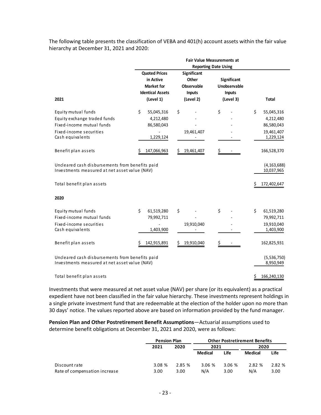The following table presents the classification of VEBA and 401(h) account assets within the fair value hierarchy at December 31, 2021 and 2020:

|                                                 | <b>Fair Value Measurements at</b> |                    |               |                  |  |
|-------------------------------------------------|-----------------------------------|--------------------|---------------|------------------|--|
|                                                 | <b>Reporting Date Using</b>       |                    |               |                  |  |
|                                                 | <b>Quoted Prices</b>              | <b>Significant</b> |               |                  |  |
|                                                 | in Active                         | Other              | Significant   |                  |  |
|                                                 | <b>Market for</b>                 | Observable         | Unobservable  |                  |  |
|                                                 | <b>Identical Assets</b>           | <b>Inputs</b>      | <b>Inputs</b> |                  |  |
| 2021                                            | (Level 1)                         | (Level 2)          | (Level 3)     | <b>Total</b>     |  |
|                                                 |                                   |                    |               |                  |  |
| Equity mutual funds                             | \$<br>55,045,316                  | \$                 | \$            | \$<br>55,045,316 |  |
| Equity exchange traded funds                    | 4,212,480                         |                    |               | 4,212,480        |  |
| Fixed-income mutual funds                       | 86,580,043                        |                    |               | 86,580,043       |  |
| Fixed-income securities                         |                                   | 19,461,407         |               | 19,461,407       |  |
| Cash equivalents                                | 1,229,124                         |                    |               | 1,229,124        |  |
|                                                 |                                   |                    |               |                  |  |
| Benefit plan assets                             | Ś<br>147,066,963                  | \$<br>19,461,407   | \$            | 166,528,370      |  |
|                                                 |                                   |                    |               |                  |  |
| Uncleared cash disbursements from benefits paid |                                   |                    |               | (4, 163, 688)    |  |
| Investments measured at net asset value (NAV)   |                                   |                    |               | 10,037,965       |  |
|                                                 |                                   |                    |               |                  |  |
| Total benefit plan assets                       |                                   |                    |               | 172,402,647      |  |
|                                                 |                                   |                    |               |                  |  |
| 2020                                            |                                   |                    |               |                  |  |
| Equity mutual funds                             | Ś.<br>61,519,280                  | \$                 | \$            | \$<br>61,519,280 |  |
| Fixed-income mutual funds                       | 79,992,711                        |                    |               | 79,992,711       |  |
| Fixed-income securities                         |                                   | 19,910,040         |               | 19,910,040       |  |
| Cash equivalents                                | 1,403,900                         |                    |               | 1,403,900        |  |
|                                                 |                                   |                    |               |                  |  |
| Benefit plan assets                             | 142,915,891                       | 19,910,040<br>Ş    |               | 162,825,931      |  |
|                                                 |                                   |                    |               |                  |  |
| Uncleared cash disbursements from benefits paid |                                   |                    |               | (5,536,750)      |  |
| Investments measured at net asset value (NAV)   |                                   |                    |               | 8,950,949        |  |
|                                                 |                                   |                    |               |                  |  |
| Total benefit plan assets                       |                                   |                    |               | 166,240,130      |  |
|                                                 |                                   |                    |               |                  |  |

Investments that were measured at net asset value (NAV) per share (or its equivalent) as a practical expedient have not been classified in the fair value hierarchy. These investments represent holdings in a single private investment fund that are redeemable at the election of the holder upon no more than 30 days' notice. The values reported above are based on information provided by the fund manager.

**Pension Plan and Other Postretirement Benefit Assumptions**—Actuarial assumptions used to determine benefit obligations at December 31, 2021 and 2020, were as follows:

|                               | <b>Pension Plan</b> |       | <b>Other Postretirement Benefits</b> |        |                |        |
|-------------------------------|---------------------|-------|--------------------------------------|--------|----------------|--------|
|                               | 2021                | 2020  | 2021                                 |        | 2020           |        |
|                               |                     |       | Medical                              | Life   | <b>Medical</b> | Life   |
| Discount rate                 | 3.08%               | 2.85% | 3.06%                                | 3.06 % | 2.82 %         | 2.82 % |
| Rate of compensation increase | 3.00                | 3.00  | N/A                                  | 3.00   | N/A            | 3.00   |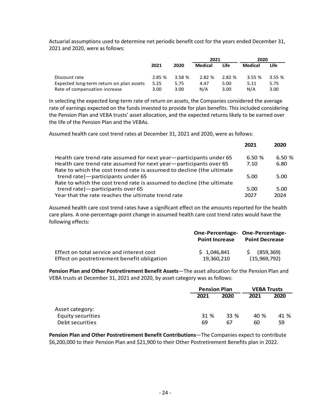Actuarial assumptions used to determine net periodic benefit cost for the years ended December 31, 2021 and 2020, were as follows:

|                                          |       |        | 2021           |        | 2020    |       |
|------------------------------------------|-------|--------|----------------|--------|---------|-------|
|                                          | 2021  | 2020   | <b>Medical</b> | Life   | Medical | Life  |
| Discount rate                            | 2.85% | 3.58 % | 2.82 %         | 2.82 % | 3.55%   | 3.55% |
| Expected long-term return on plan assets | 5.25  | 5.75   | 4.47           | 5.00   | 5.11    | 5.75  |
| Rate of compensation increase            | 3.00  | 3.00   | N/A            | 3.00   | N/A     | 3.00  |

In selecting the expected long-term rate of return on assets, the Companies considered the average rate of earnings expected on the funds invested to provide for plan benefits. This included considering the Pension Plan and VEBA trusts' asset allocation, and the expected returns likely to be earned over the life of the Pension Plan and the VEBAs.

Assumed health care cost trend rates at December 31, 2021 and 2020, were as follows:

|                                                                                                                                            | 2021  | 2020  |
|--------------------------------------------------------------------------------------------------------------------------------------------|-------|-------|
| Health care trend rate assumed for next year-participants under 65                                                                         | 6.50% | 6.50% |
| Health care trend rate assumed for next year-participants over 65<br>Rate to which the cost trend rate is assumed to decline (the ultimate | 7.10  | 6.80  |
| trend rate) - participants under 65                                                                                                        | 5.00  | 5.00  |
| Rate to which the cost trend rate is assumed to decline (the ultimate                                                                      |       |       |
| trend rate) - participants over 65                                                                                                         | 5.00  | 5.00  |
| Year that the rate reaches the ultimate trend rate                                                                                         | 2027  | 2024  |

Assumed health care cost trend rates have a significant effect on the amounts reported for the health care plans. A one-percentage-point change in assumed health care cost trend rates would have the following effects:

|                                             | One-Percentage- One-Percentage-<br><b>Point Increase</b> | <b>Point Decrease</b> |  |
|---------------------------------------------|----------------------------------------------------------|-----------------------|--|
| Effect on total service and interest cost   | $5 \t1.046.841$                                          | \$ (859, 369)         |  |
| Effect on postretirement benefit obligation | 19.360.210                                               | (15,969,792)          |  |

**Pension Plan and Other Postretirement Benefit Assets**—The asset allocation for the Pension Plan and VEBA trusts at December 31, 2021 and 2020, by asset category was as follows:

|                   |      | <b>Pension Plan</b> |      | <b>VEBA Trusts</b> |  |
|-------------------|------|---------------------|------|--------------------|--|
|                   | 2021 | 2020                | 2021 | 2020               |  |
| Asset category:   |      |                     |      |                    |  |
| Equity securities | 31 % | 33 %                | 40 % | 41 %               |  |
| Debt securities   | 69   | 67                  | 60   | 59                 |  |

**Pension Plan and Other Postretirement Benefit Contributions**—The Companies expect to contribute \$6,200,000 to their Pension Plan and \$21,900 to their Other Postretirement Benefits plan in 2022.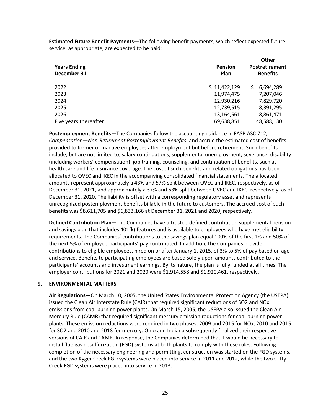**Estimated Future Benefit Payments**—The following benefit payments, which reflect expected future service, as appropriate, are expected to be paid:

| <b>Years Ending</b><br>December 31 | <b>Pension</b><br>Plan | Other<br>Postretirement<br><b>Benefits</b> |  |
|------------------------------------|------------------------|--------------------------------------------|--|
| 2022                               | \$11,422,129           | 6,694,289<br>S.                            |  |
| 2023                               | 11,974,475             | 7,207,046                                  |  |
| 2024                               | 12,930,216             | 7,829,720                                  |  |
| 2025                               | 12,739,515             | 8,391,295                                  |  |
| 2026                               | 13,164,561             | 8,861,471                                  |  |
| Five years thereafter              | 69,638,851             | 48,588,130                                 |  |

**Postemployment Benefits**—The Companies follow the accounting guidance in FASB ASC 712, *Compensation—Non-Retirement Postemployment Benefits*, and accrue the estimated cost of benefits provided to former or inactive employees after employment but before retirement. Such benefits include, but are not limited to, salary continuations, supplemental unemployment, severance, disability (including workers' compensation), job training, counseling, and continuation of benefits, such as health care and life insurance coverage. The cost of such benefits and related obligations has been allocated to OVEC and IKEC in the accompanying consolidated financial statements. The allocated amounts represent approximately a 43% and 57% split between OVEC and IKEC, respectively, as of December 31, 2021, and approximately a 37% and 63% split between OVEC and IKEC, respectively, as of December 31, 2020. The liability is offset with a corresponding regulatory asset and represents unrecognized postemployment benefits billable in the future to customers. The accrued cost of such benefits was \$8,611,705 and \$6,833,166 at December 31, 2021 and 2020, respectively.

**Defined Contribution Plan**—The Companies have a trustee-defined contribution supplemental pension and savings plan that includes 401(k) features and is available to employees who have met eligibility requirements. The Companies' contributions to the savings plan equal 100% of the first 1% and 50% of the next 5% of employee-participants' pay contributed. In addition, the Companies provide contributions to eligible employees, hired on or after January 1, 2015, of 3% to 5% of pay based on age and service. Benefits to participating employees are based solely upon amounts contributed to the participants' accounts and investment earnings. By its nature, the plan is fully funded at all times. The employer contributions for 2021 and 2020 were \$1,914,558 and \$1,920,461, respectively.

## **9. ENVIRONMENTAL MATTERS**

**Air Regulations**—On March 10, 2005, the United States Environmental Protection Agency (the USEPA) issued the Clean Air Interstate Rule (CAIR) that required significant reductions of SO2 and NOx emissions from coal-burning power plants. On March 15, 2005, the USEPA also issued the Clean Air Mercury Rule (CAMR) that required significant mercury emission reductions for coal-burning power plants. These emission reductions were required in two phases: 2009 and 2015 for NOx, 2010 and 2015 for SO2 and 2010 and 2018 for mercury. Ohio and Indiana subsequently finalized their respective versions of CAIR and CAMR. In response, the Companies determined that it would be necessary to install flue gas desulfurization (FGD) systems at both plants to comply with these rules. Following completion of the necessary engineering and permitting, construction was started on the FGD systems, and the two Kyger Creek FGD systems were placed into service in 2011 and 2012, while the two Clifty Creek FGD systems were placed into service in 2013.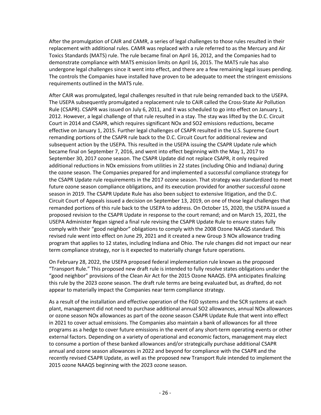After the promulgation of CAIR and CAMR, a series of legal challenges to those rules resulted in their replacement with additional rules. CAMR was replaced with a rule referred to as the Mercury and Air Toxics Standards (MATS) rule. The rule became final on April 16, 2012, and the Companies had to demonstrate compliance with MATS emission limits on April 16, 2015. The MATS rule has also undergone legal challenges since it went into effect, and there are a few remaining legal issues pending. The controls the Companies have installed have proven to be adequate to meet the stringent emissions requirements outlined in the MATS rule.

After CAIR was promulgated, legal challenges resulted in that rule being remanded back to the USEPA. The USEPA subsequently promulgated a replacement rule to CAIR called the Cross-State Air Pollution Rule (CSAPR). CSAPR was issued on July 6, 2011, and it was scheduled to go into effect on January 1, 2012. However, a legal challenge of that rule resulted in a stay. The stay was lifted by the D.C. Circuit Court in 2014 and CSAPR, which requires significant NOx and SO2 emissions reductions, became effective on January 1, 2015. Further legal challenges of CSAPR resulted in the U.S. Supreme Court remanding portions of the CSAPR rule back to the D.C. Circuit Court for additional review and subsequent action by the USEPA. This resulted in the USEPA issuing the CSAPR Update rule which became final on September 7, 2016, and went into effect beginning with the May 1, 2017 to September 30, 2017 ozone season. The CSAPR Update did not replace CSAPR, it only required additional reductions in NOx emissions from utilities in 22 states (including Ohio and Indiana) during the ozone season. The Companies prepared for and implemented a successful compliance strategy for the CSAPR Update rule requirements in the 2017 ozone season. That strategy was standardized to meet future ozone season compliance obligations, and its execution provided for another successful ozone season in 2019. The CSAPR Update Rule has also been subject to extensive litigation, and the D.C. Circuit Court of Appeals issued a decision on September 13, 2019, on one of those legal challenges that remanded portions of this rule back to the USEPA to address. On October 15, 2020, the USEPA issued a proposed revision to the CSAPR Update in response to the court remand; and on March 15, 2021, the USEPA Administer Regan signed a final rule revising the CSAPR Update Rule to ensure states fully comply with their "good neighbor" obligations to comply with the 2008 Ozone NAAQS standard. This revised rule went into effect on June 29, 2021 and it created a new Group 3 NOx allowance trading program that applies to 12 states, including Indiana and Ohio. The rule changes did not impact our near term compliance strategy, nor is it expected to materially change future operations.

On February 28, 2022, the USEPA proposed federal implementation rule known as the proposed "Transport Rule." This proposed new draft rule is intended to fully resolve states obligations under the "good neighbor" provisions of the Clean Air Act for the 2015 Ozone NAAQS. EPA anticipates finalizing this rule by the 2023 ozone season. The draft rule terms are being evaluated but, as drafted, do not appear to materially impact the Companies near term compliance strategy.

As a result of the installation and effective operation of the FGD systems and the SCR systems at each plant, management did not need to purchase additional annual SO2 allowances, annual NOx allowances or ozone season NOx allowances as part of the ozone season CSAPR Update Rule that went into effect in 2021 to cover actual emissions. The Companies also maintain a bank of allowances for all three programs as a hedge to cover future emissions in the event of any short-term operating events or other external factors. Depending on a variety of operational and economic factors, management may elect to consume a portion of these banked allowances and/or strategically purchase additional CSAPR annual and ozone season allowances in 2022 and beyond for compliance with the CSAPR and the recently revised CSAPR Update, as well as the proposed new Transport Rule intended to implement the 2015 ozone NAAQS beginning with the 2023 ozone season.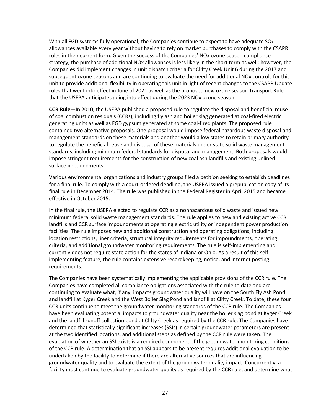With all FGD systems fully operational, the Companies continue to expect to have adequate  $SO<sub>2</sub>$ allowances available every year without having to rely on market purchases to comply with the CSAPR rules in their current form. Given the success of the Companies' NOx ozone season compliance strategy, the purchase of additional NOx allowances is less likely in the short term as well; however, the Companies did implement changes in unit dispatch criteria for Clifty Creek Unit 6 during the 2017 and subsequent ozone seasons and are continuing to evaluate the need for additional NOx controls for this unit to provide additional flexibility in operating this unit in light of recent changes to the CSAPR Update rules that went into effect in June of 2021 as well as the proposed new ozone season Transport Rule that the USEPA anticipates going into effect during the 2023 NOx ozone season.

**CCR Rule**—In 2010, the USEPA published a proposed rule to regulate the disposal and beneficial reuse of coal combustion residuals (CCRs), including fly ash and boiler slag generated at coal-fired electric generating units as well as FGD gypsum generated at some coal-fired plants. The proposed rule contained two alternative proposals. One proposal would impose federal hazardous waste disposal and management standards on these materials and another would allow states to retain primary authority to regulate the beneficial reuse and disposal of these materials under state solid waste management standards, including minimum federal standards for disposal and management. Both proposals would impose stringent requirements for the construction of new coal ash landfills and existing unlined surface impoundments.

Various environmental organizations and industry groups filed a petition seeking to establish deadlines for a final rule. To comply with a court-ordered deadline, the USEPA issued a prepublication copy of its final rule in December 2014. The rule was published in the Federal Register in April 2015 and became effective in October 2015.

In the final rule, the USEPA elected to regulate CCR as a nonhazardous solid waste and issued new minimum federal solid waste management standards. The rule applies to new and existing active CCR landfills and CCR surface impoundments at operating electric utility or independent power production facilities. The rule imposes new and additional construction and operating obligations, including location restrictions, liner criteria, structural integrity requirements for impoundments, operating criteria, and additional groundwater monitoring requirements. The rule is self-implementing and currently does not require state action for the states of Indiana or Ohio. As a result of this selfimplementing feature, the rule contains extensive recordkeeping, notice, and Internet posting requirements.

The Companies have been systematically implementing the applicable provisions of the CCR rule. The Companies have completed all compliance obligations associated with the rule to date and are continuing to evaluate what, if any, impacts groundwater quality will have on the South Fly Ash Pond and landfill at Kyger Creek and the West Boiler Slag Pond and landfill at Clifty Creek. To date, these four CCR units continue to meet the groundwater monitoring standards of the CCR rule. The Companies have been evaluating potential impacts to groundwater quality near the boiler slag pond at Kyger Creek and the landfill runoff collection pond at Clifty Creek as required by the CCR rule. The Companies have determined that statistically significant increases (SSIs) in certain groundwater parameters are present at the two identified locations, and additional steps as defined by the CCR rule were taken. The evaluation of whether an SSI exists is a required component of the groundwater monitoring conditions of the CCR rule. A determination that an SSI appears to be present requires additional evaluation to be undertaken by the facility to determine if there are alternative sources that are influencing groundwater quality and to evaluate the extent of the groundwater quality impact. Concurrently, a facility must continue to evaluate groundwater quality as required by the CCR rule, and determine what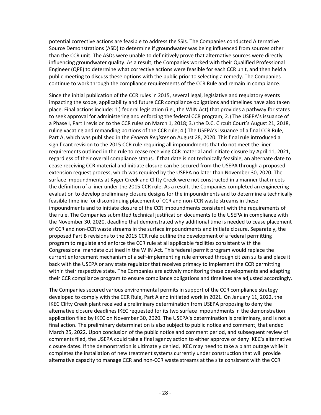potential corrective actions are feasible to address the SSIs. The Companies conducted Alternative Source Demonstrations (ASD) to determine if groundwater was being influenced from sources other than the CCR unit. The ASDs were unable to definitively prove that alternative sources were directly influencing groundwater quality. As a result, the Companies worked with their Qualified Professional Engineer (QPE) to determine what corrective actions were feasible for each CCR unit, and then held a public meeting to discuss these options with the public prior to selecting a remedy. The Companies continue to work through the compliance requirements of the CCR Rule and remain in compliance.

Since the initial publication of the CCR rules in 2015, several legal, legislative and regulatory events impacting the scope, applicability and future CCR compliance obligations and timelines have also taken place. Final actions include: 1.) federal legislation (i.e., the WIIN Act) that provides a pathway for states to seek approval for administering and enforcing the federal CCR program; 2.) The USEPA's issuance of a Phase I, Part I revision to the CCR rules on March 1, 2018; 3.) the D.C. Circuit Court's August 21, 2018, ruling vacating and remanding portions of the CCR rule; 4.) The USEPA's issuance of a final CCR Rule, Part A, which was published in the *Federal Register* on August 28, 2020. This final rule introduced a significant revision to the 2015 CCR rule requiring all impoundments that do not meet the liner requirements outlined in the rule to cease receiving CCR material and initiate closure by April 11, 2021, regardless of their overall compliance status. If that date is not technically feasible, an alternate date to cease receiving CCR material and initiate closure can be secured from the USEPA through a proposed extension request process, which was required by the USEPA no later than November 30, 2020. The surface impoundments at Kyger Creek and Clifty Creek were not constructed in a manner that meets the definition of a liner under the 2015 CCR rule. As a result, the Companies completed an engineering evaluation to develop preliminary closure designs for the impoundments and to determine a technically feasible timeline for discontinuing placement of CCR and non-CCR waste streams in these impoundments and to initiate closure of the CCR impoundments consistent with the requirements of the rule. The Companies submitted technical justification documents to the USEPA in compliance with the November 30, 2020, deadline that demonstrated why additional time is needed to cease placement of CCR and non-CCR waste streams in the surface impoundments and initiate closure. Separately, the proposed Part B revisions to the 2015 CCR rule outline the development of a federal permitting program to regulate and enforce the CCR rule at all applicable facilities consistent with the Congressional mandate outlined in the WIIN Act. This federal permit program would replace the current enforcement mechanism of a self-implementing rule enforced through citizen suits and place it back with the USEPA or any state regulator that receives primacy to implement the CCR permitting within their respective state. The Companies are actively monitoring these developments and adapting their CCR compliance program to ensure compliance obligations and timelines are adjusted accordingly.

The Companies secured various environmental permits in support of the CCR compliance strategy developed to comply with the CCR Rule, Part A and initiated work in 2021. On January 11, 2022, the IKEC Clifty Creek plant received a preliminary determination from USEPA proposing to deny the alternative closure deadlines IKEC requested for its two surface impoundments in the demonstration application filed by IKEC on November 30, 2020. The USEPA's determination is preliminary, and is not a final action. The preliminary determination is also subject to public notice and comment, that ended March 25, 2022. Upon conclusion of the public notice and comment period, and subsequent review of comments filed, the USEPA could take a final agency action to either approve or deny IKEC's alternative closure dates. If the demonstration is ultimately denied, IKEC may need to take a plant outage while it completes the installation of new treatment systems currently under construction that will provide alternative capacity to manage CCR and non-CCR waste streams at the site consistent with the CCR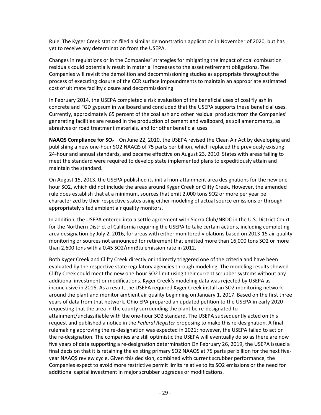Rule. The Kyger Creek station filed a similar demonstration application in November of 2020, but has yet to receive any determination from the USEPA.

Changes in regulations or in the Companies' strategies for mitigating the impact of coal combustion residuals could potentially result in material increases to the asset retirement obligations. The Companies will revisit the demolition and decommissioning studies as appropriate throughout the process of executing closure of the CCR surface impoundments to maintain an appropriate estimated cost of ultimate facility closure and decommissioning

In February 2014, the USEPA completed a risk evaluation of the beneficial uses of coal fly ash in concrete and FGD gypsum in wallboard and concluded that the USEPA supports these beneficial uses. Currently, approximately 65 percent of the coal ash and other residual products from the Companies' generating facilities are reused in the production of cement and wallboard, as soil amendments, as abrasives or road treatment materials, and for other beneficial uses.

**NAAQS Compliance for SO<sub>2</sub>—On** June 22, 2010, the USEPA revised the Clean Air Act by developing and publishing a new one-hour SO2 NAAQS of 75 parts per billion, which replaced the previously existing 24-hour and annual standards, and became effective on August 23, 2010. States with areas failing to meet the standard were required to develop state implemented plans to expeditiously attain and maintain the standard.

On August 15, 2013, the USEPA published its initial non-attainment area designations for the new onehour SO2, which did not include the areas around Kyger Creek or Clifty Creek. However, the amended rule does establish that at a minimum, sources that emit 2,000 tons SO2 or more per year be characterized by their respective states using either modeling of actual source emissions or through appropriately sited ambient air quality monitors.

In addition, the USEPA entered into a settle agreement with Sierra Club/NRDC in the U.S. District Court for the Northern District of California requiring the USEPA to take certain actions, including completing area designation by July 2, 2016, for areas with either monitored violations based on 2013-15 air quality monitoring or sources not announced for retirement that emitted more than 16,000 tons SO2 or more than 2,600 tons with a 0.45 SO2/mmBtu emission rate in 2012.

Both Kyger Creek and Clifty Creek directly or indirectly triggered one of the criteria and have been evaluated by the respective state regulatory agencies through modeling. The modeling results showed Clifty Creek could meet the new one-hour SO2 limit using their current scrubber systems without any additional investment or modifications. Kyger Creek's modeling data was rejected by USEPA as inconclusive in 2016. As a result, the USEPA required Kyger Creek install an SO2 monitoring network around the plant and monitor ambient air quality beginning on January 1, 2017. Based on the first three years of data from that network, Ohio EPA prepared an updated petition to the USEPA in early 2020 requesting that the area in the county surrounding the plant be re-designated to attainment/unclassifiable with the one-hour SO2 standard. The USEPA subsequently acted on this request and published a notice in the *Federal Register* proposing to make this re-designation. A final rulemaking approving the re-designation was expected in 2021; however, the USEPA failed to act on the re-designation. The companies are still optimistic the USEPA will eventually do so as there are now five years of data supporting a re-designation determination On February 26, 2019, the USEPA issued a final decision that it is retaining the existing primary SO2 NAAQS at 75 parts per billion for the next fiveyear NAAQS review cycle. Given this decision, combined with current scrubber performance, the Companies expect to avoid more restrictive permit limits relative to its SO2 emissions or the need for additional capital investment in major scrubber upgrades or modifications.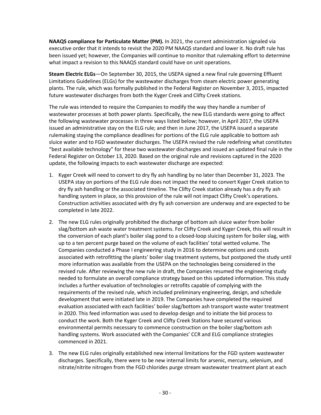**NAAQS compliance for Particulate Matter (PM).** In 2021, the current administration signaled via executive order that it intends to revisit the 2020 PM NAAQS standard and lower it. No draft rule has been issued yet; however, the Companies will continue to monitor that rulemaking effort to determine what impact a revision to this NAAQS standard could have on unit operations.

**Steam Electric ELGs**—On September 30, 2015, the USEPA signed a new final rule governing Effluent Limitations Guidelines (ELGs) for the wastewater discharges from steam electric power generating plants. The rule, which was formally published in the Federal Register on November 3, 2015, impacted future wastewater discharges from both the Kyger Creek and Clifty Creek stations.

The rule was intended to require the Companies to modify the way they handle a number of wastewater processes at both power plants. Specifically, the new ELG standards were going to affect the following wastewater processes in three ways listed below; however, in April 2017, the USEPA issued an administrative stay on the ELG rule; and then in June 2017, the USEPA issued a separate rulemaking staying the compliance deadlines for portions of the ELG rule applicable to bottom ash sluice water and to FGD wastewater discharges. The USEPA revised the rule redefining what constitutes "best available technology" for these two wastewater discharges and issued an updated final rule in the Federal Register on October 13, 2020. Based on the original rule and revisions captured in the 2020 update, the following impacts to each wastewater discharge are expected:

- 1. Kyger Creek will need to convert to dry fly ash handling by no later than December 31, 2023. The USEPA stay on portions of the ELG rule does not impact the need to convert Kyger Creek station to dry fly ash handling or the associated timeline. The Clifty Creek station already has a dry fly ash handling system in place, so this provision of the rule will not impact Clifty Creek's operations. Construction activities associated with dry fly ash conversion are underway and are expected to be completed in late 2022.
- 2. The new ELG rules originally prohibited the discharge of bottom ash sluice water from boiler slag/bottom ash waste water treatment systems. For Clifty Creek and Kyger Creek, this will result in the conversion of each plant's boiler slag pond to a closed-loop sluicing system for boiler slag, with up to a ten percent purge based on the volume of each facilities' total wetted volume. The Companies conducted a Phase I engineering study in 2016 to determine options and costs associated with retrofitting the plants' boiler slag treatment systems, but postponed the study until more information was available from the USEPA on the technologies being considered in the revised rule. After reviewing the new rule in draft, the Companies resumed the engineering study needed to formulate an overall compliance strategy based on this updated information. This study includes a further evaluation of technologies or retrofits capable of complying with the requirements of the revised rule, which included preliminary engineering, design, and schedule development that were initiated late in 2019. The Companies have completed the required evaluation associated with each facilities' boiler slag/bottom ash transport waste water treatment in 2020. This feed information was used to develop design and to initiate the bid process to conduct the work. Both the Kyger Creek and Clifty Creek Stations have secured various environmental permits necessary to commence construction on the boiler slag/bottom ash handling systems. Work associated with the Companies' CCR and ELG compliance strategies commenced in 2021.
- 3. The new ELG rules originally established new internal limitations for the FGD system wastewater discharges. Specifically, there were to be new internal limits for arsenic, mercury, selenium, and nitrate/nitrite nitrogen from the FGD chlorides purge stream wastewater treatment plant at each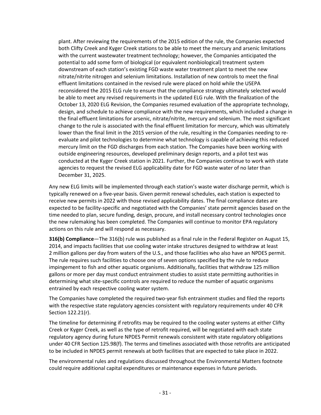plant. After reviewing the requirements of the 2015 edition of the rule, the Companies expected both Clifty Creek and Kyger Creek stations to be able to meet the mercury and arsenic limitations with the current wastewater treatment technology; however, the Companies anticipated the potential to add some form of biological (or equivalent nonbiological) treatment system downstream of each station's existing FGD waste water treatment plant to meet the new nitrate/nitrite nitrogen and selenium limitations. Installation of new controls to meet the final effluent limitations contained in the revised rule were placed on hold while the USEPA reconsidered the 2015 ELG rule to ensure that the compliance strategy ultimately selected would be able to meet any revised requirements in the updated ELG rule. With the finalization of the October 13, 2020 ELG Revision, the Companies resumed evaluation of the appropriate technology, design, and schedule to achieve compliance with the new requirements, which included a change in the final effluent limitations for arsenic, nitrate/nitrite, mercury and selenium. The most significant change to the rule is associated with the final effluent limitation for mercury, which was ultimately lower than the final limit in the 2015 version of the rule, resulting in the Companies needing to reevaluate and pilot technologies to determine what technology is capable of achieving this reduced mercury limit on the FGD discharges from each station. The Companies have been working with outside engineering resources, developed preliminary design reports, and a pilot test was conducted at the Kyger Creek station in 2021. Further, the Companies continue to work with state agencies to request the revised ELG applicability date for FGD waste water of no later than December 31, 2025.

Any new ELG limits will be implemented through each station's waste water discharge permit, which is typically renewed on a five-year basis. Given permit renewal schedules, each station is expected to receive new permits in 2022 with those revised applicability dates. The final compliance dates are expected to be facility-specific and negotiated with the Companies' state permit agencies based on the time needed to plan, secure funding, design, procure, and install necessary control technologies once the new rulemaking has been completed. The Companies will continue to monitor EPA regulatory actions on this rule and will respond as necessary.

**316(b) Compliance**—The 316(b) rule was published as a final rule in the Federal Register on August 15, 2014, and impacts facilities that use cooling water intake structures designed to withdraw at least 2 million gallons per day from waters of the U.S., and those facilities who also have an NPDES permit. The rule requires such facilities to choose one of seven options specified by the rule to reduce impingement to fish and other aquatic organisms. Additionally, facilities that withdraw 125 million gallons or more per day must conduct entrainment studies to assist state permitting authorities in determining what site-specific controls are required to reduce the number of aquatic organisms entrained by each respective cooling water system.

The Companies have completed the required two-year fish entrainment studies and filed the reports with the respective state regulatory agencies consistent with regulatory requirements under 40 CFR Section 122.21(r).

The timeline for determining if retrofits may be required to the cooling water systems at either Clifty Creek or Kyger Creek, as well as the type of retrofit required, will be negotiated with each state regulatory agency during future NPDES Permit renewals consistent with state regulatory obligations under 40 CFR Section 125.98(f). The terms and timelines associated with those retrofits are anticipated to be included in NPDES permit renewals at both facilities that are expected to take place in 2022.

The environmental rules and regulations discussed throughout the Environmental Matters footnote could require additional capital expenditures or maintenance expenses in future periods.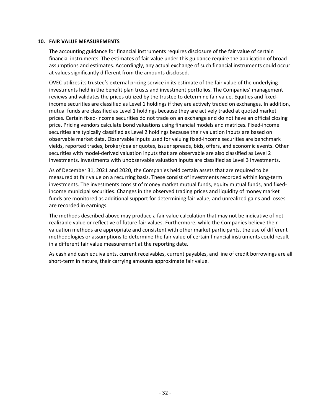#### **10. FAIR VALUE MEASUREMENTS**

The accounting guidance for financial instruments requires disclosure of the fair value of certain financial instruments. The estimates of fair value under this guidance require the application of broad assumptions and estimates. Accordingly, any actual exchange of such financial instruments could occur at values significantly different from the amounts disclosed.

OVEC utilizes its trustee's external pricing service in its estimate of the fair value of the underlying investments held in the benefit plan trusts and investment portfolios. The Companies' management reviews and validates the prices utilized by the trustee to determine fair value. Equities and fixedincome securities are classified as Level 1 holdings if they are actively traded on exchanges. In addition, mutual funds are classified as Level 1 holdings because they are actively traded at quoted market prices. Certain fixed-income securities do not trade on an exchange and do not have an official closing price. Pricing vendors calculate bond valuations using financial models and matrices. Fixed-income securities are typically classified as Level 2 holdings because their valuation inputs are based on observable market data. Observable inputs used for valuing fixed-income securities are benchmark yields, reported trades, broker/dealer quotes, issuer spreads, bids, offers, and economic events. Other securities with model-derived valuation inputs that are observable are also classified as Level 2 investments. Investments with unobservable valuation inputs are classified as Level 3 investments.

As of December 31, 2021 and 2020, the Companies held certain assets that are required to be measured at fair value on a recurring basis. These consist of investments recorded within long-term investments. The investments consist of money market mutual funds, equity mutual funds, and fixedincome municipal securities. Changes in the observed trading prices and liquidity of money market funds are monitored as additional support for determining fair value, and unrealized gains and losses are recorded in earnings.

The methods described above may produce a fair value calculation that may not be indicative of net realizable value or reflective of future fair values. Furthermore, while the Companies believe their valuation methods are appropriate and consistent with other market participants, the use of different methodologies or assumptions to determine the fair value of certain financial instruments could result in a different fair value measurement at the reporting date.

As cash and cash equivalents, current receivables, current payables, and line of credit borrowings are all short-term in nature, their carrying amounts approximate fair value.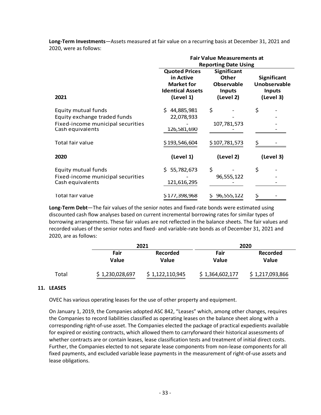|                                                                                                              | <b>Fair Value Measurements at</b><br><b>Reporting Date Using</b>                               |                                                                                       |                                                                  |
|--------------------------------------------------------------------------------------------------------------|------------------------------------------------------------------------------------------------|---------------------------------------------------------------------------------------|------------------------------------------------------------------|
| 2021                                                                                                         | <b>Quoted Prices</b><br>in Active<br><b>Market for</b><br><b>Identical Assets</b><br>(Level 1) | <b>Significant</b><br><b>Other</b><br><b>Observable</b><br><b>Inputs</b><br>(Level 2) | <b>Significant</b><br>Unobservable<br><b>Inputs</b><br>(Level 3) |
| Equity mutual funds<br>Equity exchange traded funds<br>Fixed-income municipal securities<br>Cash equivalents | \$44,885,981<br>22,078,933<br>126,581,690                                                      | \$<br>107,781,573                                                                     | \$                                                               |
| Total fair value                                                                                             | \$193,546,604                                                                                  | \$107,781,573                                                                         | Ş                                                                |
| 2020                                                                                                         | (Level 1)                                                                                      | (Level 2)                                                                             | (Level 3)                                                        |
| Equity mutual funds<br>Fixed-income municipal securities<br>Cash equivalents                                 | \$5,782,673<br>121,616,295                                                                     | \$<br>96,555,122                                                                      | \$                                                               |
| Total fair value                                                                                             | \$177,398,968                                                                                  | \$96,555,122                                                                          | Ş                                                                |

**Long-Term Investments**—Assets measured at fair value on a recurring basis at December 31, 2021 and 2020, were as follows:

**Long-Term Debt**—The fair values of the senior notes and fixed-rate bonds were estimated using discounted cash flow analyses based on current incremental borrowing rates for similar types of borrowing arrangements. These fair values are not reflected in the balance sheets. The fair values and recorded values of the senior notes and fixed- and variable-rate bonds as of December 31, 2021 and 2020, are as follows:

|       | 2021            |                   | 2020                 |                          |  |
|-------|-----------------|-------------------|----------------------|--------------------------|--|
|       | Fair<br>Value   | Recorded<br>Value | Fair<br><b>Value</b> | Recorded<br><b>Value</b> |  |
| Total | \$1,230,028,697 | \$1,122,110,945   | \$1,364,602,177      | \$1,217,093,866          |  |

## **11. LEASES**

OVEC has various operating leases for the use of other property and equipment.

On January 1, 2019, the Companies adopted ASC 842, "Leases" which, among other changes, requires the Companies to record liabilities classified as operating leases on the balance sheet along with a corresponding right-of-use asset. The Companies elected the package of practical expedients available for expired or existing contracts, which allowed them to carryforward their historical assessments of whether contracts are or contain leases, lease classification tests and treatment of initial direct costs. Further, the Companies elected to not separate lease components from non-lease components for all fixed payments, and excluded variable lease payments in the measurement of right-of-use assets and lease obligations.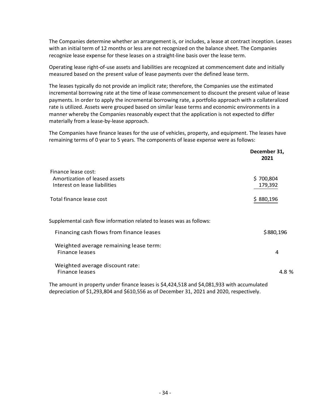The Companies determine whether an arrangement is, or includes, a lease at contract inception. Leases with an initial term of 12 months or less are not recognized on the balance sheet. The Companies recognize lease expense for these leases on a straight-line basis over the lease term.

Operating lease right-of-use assets and liabilities are recognized at commencement date and initially measured based on the present value of lease payments over the defined lease term.

The leases typically do not provide an implicit rate; therefore, the Companies use the estimated incremental borrowing rate at the time of lease commencement to discount the present value of lease payments. In order to apply the incremental borrowing rate, a portfolio approach with a collateralized rate is utilized. Assets were grouped based on similar lease terms and economic environments in a manner whereby the Companies reasonably expect that the application is not expected to differ materially from a lease-by-lease approach.

The Companies have finance leases for the use of vehicles, property, and equipment. The leases have remaining terms of 0 year to 5 years. The components of lease expense were as follows:

|                                                                                             | December 31,<br>2021 |
|---------------------------------------------------------------------------------------------|----------------------|
| Finance lease cost:<br>Amortization of leased assets<br>Interest on lease liabilities       | \$700,804<br>179,392 |
| Total finance lease cost                                                                    | \$880,196            |
| Supplemental cash flow information related to leases was as follows:                        |                      |
| Financing cash flows from finance leases                                                    | \$880,196            |
| Weighted average remaining lease term:<br>Finance leases                                    | 4                    |
| Weighted average discount rate:<br><b>Finance leases</b>                                    | 4.8 %                |
| The amount in property under finance leases is \$4,424,518 and \$4,081,933 with accumulated |                      |

depreciation of \$1,293,804 and \$610,556 as of December 31, 2021 and 2020, respectively.